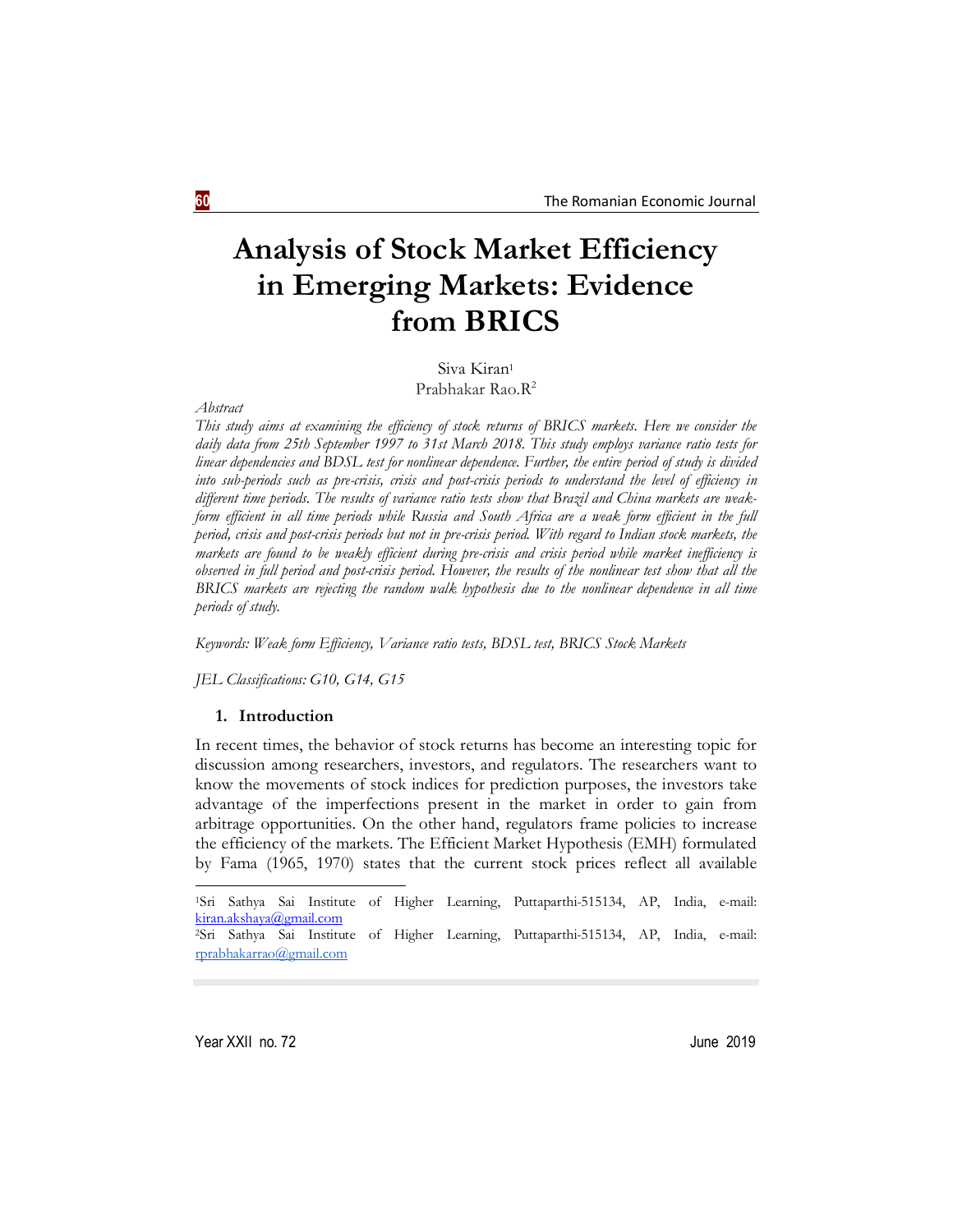# **Analysis of Stock Market Efficiency in Emerging Markets: Evidence from BRICS**

Siva Kiran<sup>1</sup> Prabhakar Rao.R<sup>2</sup>

*Abstract*

*This study aims at examining the efficiency of stock returns of BRICS markets. Here we consider the daily data from 25th September 1997 to 31st March 2018. This study employs variance ratio tests for linear dependencies and BDSL test for nonlinear dependence. Further, the entire period of study is divided into sub-periods such as pre-crisis, crisis and post-crisis periods to understand the level of efficiency in different time periods. The results of variance ratio tests show that Brazil and China markets are weakform efficient in all time periods while Russia and South Africa are a weak form efficient in the full period, crisis and post-crisis periods but not in pre-crisis period. With regard to Indian stock markets, the markets are found to be weakly efficient during pre-crisis and crisis period while market inefficiency is observed in full period and post-crisis period. However, the results of the nonlinear test show that all the BRICS markets are rejecting the random walk hypothesis due to the nonlinear dependence in all time periods of study.* 

*Keywords: Weak form Efficiency, Variance ratio tests, BDSL test, BRICS Stock Markets*

*JEL Classifications: G10, G14, G15*

#### **1. Introduction**

In recent times, the behavior of stock returns has become an interesting topic for discussion among researchers, investors, and regulators. The researchers want to know the movements of stock indices for prediction purposes, the investors take advantage of the imperfections present in the market in order to gain from arbitrage opportunities. On the other hand, regulators frame policies to increase the efficiency of the markets. The Efficient Market Hypothesis (EMH) formulated by Fama (1965, 1970) states that the current stock prices reflect all available

1

<sup>1</sup>Sri Sathya Sai Institute of Higher Learning, Puttaparthi-515134, AP, India, e-mail: kiran.akshaya@gmail.com <sup>2</sup>Sri Sathya Sai Institute of Higher Learning, Puttaparthi-515134, AP, India, e-mail: rprabhakarrao@gmail.com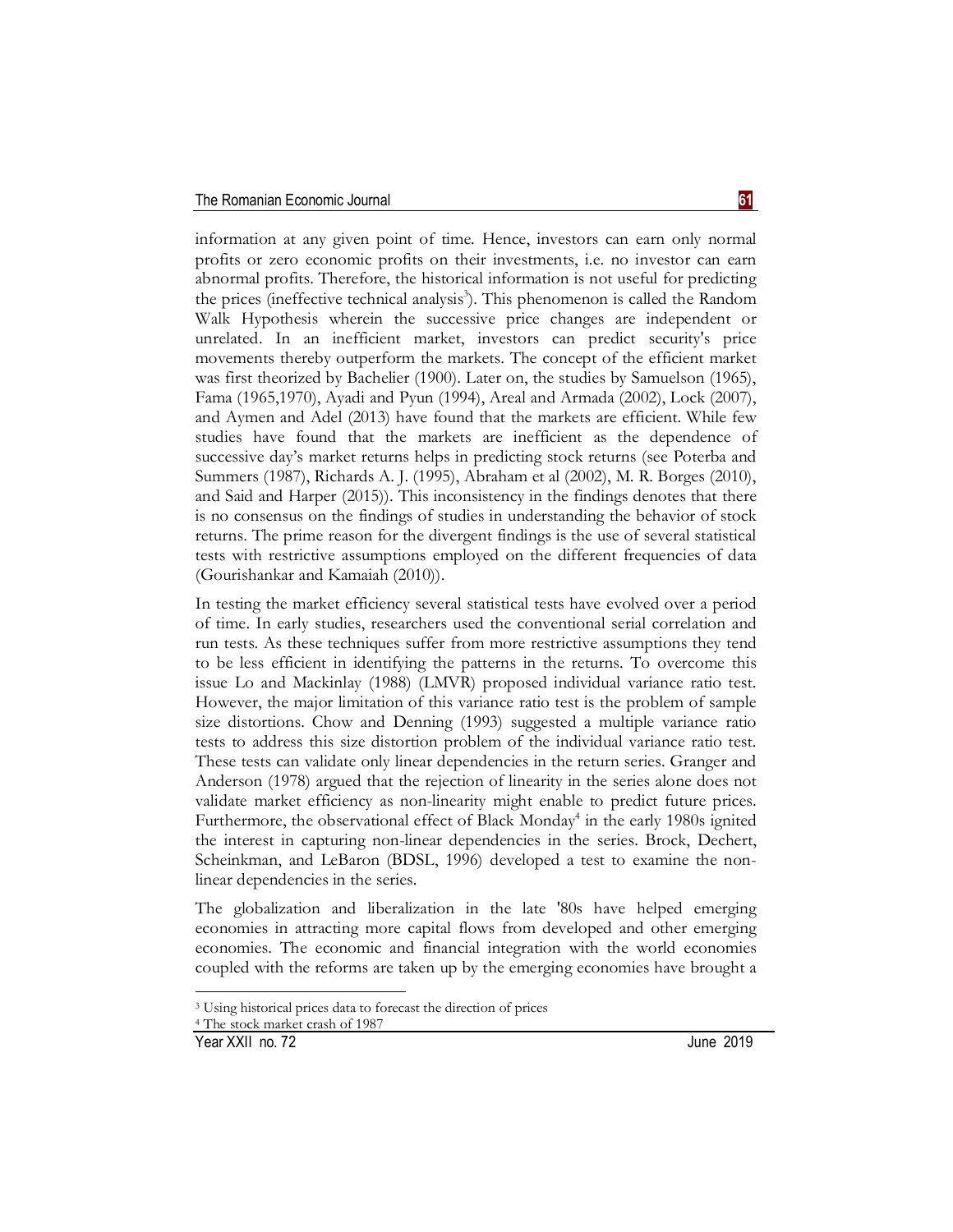information at any given point of time. Hence, investors can earn only normal profits or zero economic profits on their investments, i.e. no investor can earn abnormal profits. Therefore, the historical information is not useful for predicting the prices (ineffective technical analysis<sup>3</sup>). This phenomenon is called the Random Walk Hypothesis wherein the successive price changes are independent or unrelated. In an inefficient market, investors can predict security's price movements thereby outperform the markets. The concept of the efficient market was first theorized by Bachelier (1900). Later on, the studies by Samuelson (1965), Fama (1965,1970), Ayadi and Pyun (1994), Areal and Armada (2002), Lock (2007), and Aymen and Adel (2013) have found that the markets are efficient. While few studies have found that the markets are inefficient as the dependence of successive day's market returns helps in predicting stock returns (see Poterba and Summers (1987), Richards A. J. (1995), Abraham et al (2002), M. R. Borges (2010), and Said and Harper (2015)). This inconsistency in the findings denotes that there is no consensus on the findings of studies in understanding the behavior of stock returns. The prime reason for the divergent findings is the use of several statistical tests with restrictive assumptions employed on the different frequencies of data (Gourishankar and Kamaiah (2010)).

In testing the market efficiency several statistical tests have evolved over a period of time. In early studies, researchers used the conventional serial correlation and run tests. As these techniques suffer from more restrictive assumptions they tend to be less efficient in identifying the patterns in the returns. To overcome this issue Lo and Mackinlay (1988) (LMVR) proposed individual variance ratio test. However, the major limitation of this variance ratio test is the problem of sample size distortions. Chow and Denning (1993) suggested a multiple variance ratio tests to address this size distortion problem of the individual variance ratio test. These tests can validate only linear dependencies in the return series. Granger and Anderson (1978) argued that the rejection of linearity in the series alone does not validate market efficiency as non-linearity might enable to predict future prices. Furthermore, the observational effect of Black Monday<sup>4</sup> in the early 1980s ignited the interest in capturing non-linear dependencies in the series. Brock, Dechert, Scheinkman, and LeBaron (BDSL, 1996) developed a test to examine the nonlinear dependencies in the series.

The globalization and liberalization in the late '80s have helped emerging economies in attracting more capital flows from developed and other emerging economies. The economic and financial integration with the world economies coupled with the reforms are taken up by the emerging economies have brought a

**-**

<sup>3</sup> Using historical prices data to forecast the direction of prices

<sup>4</sup> The stock market crash of 1987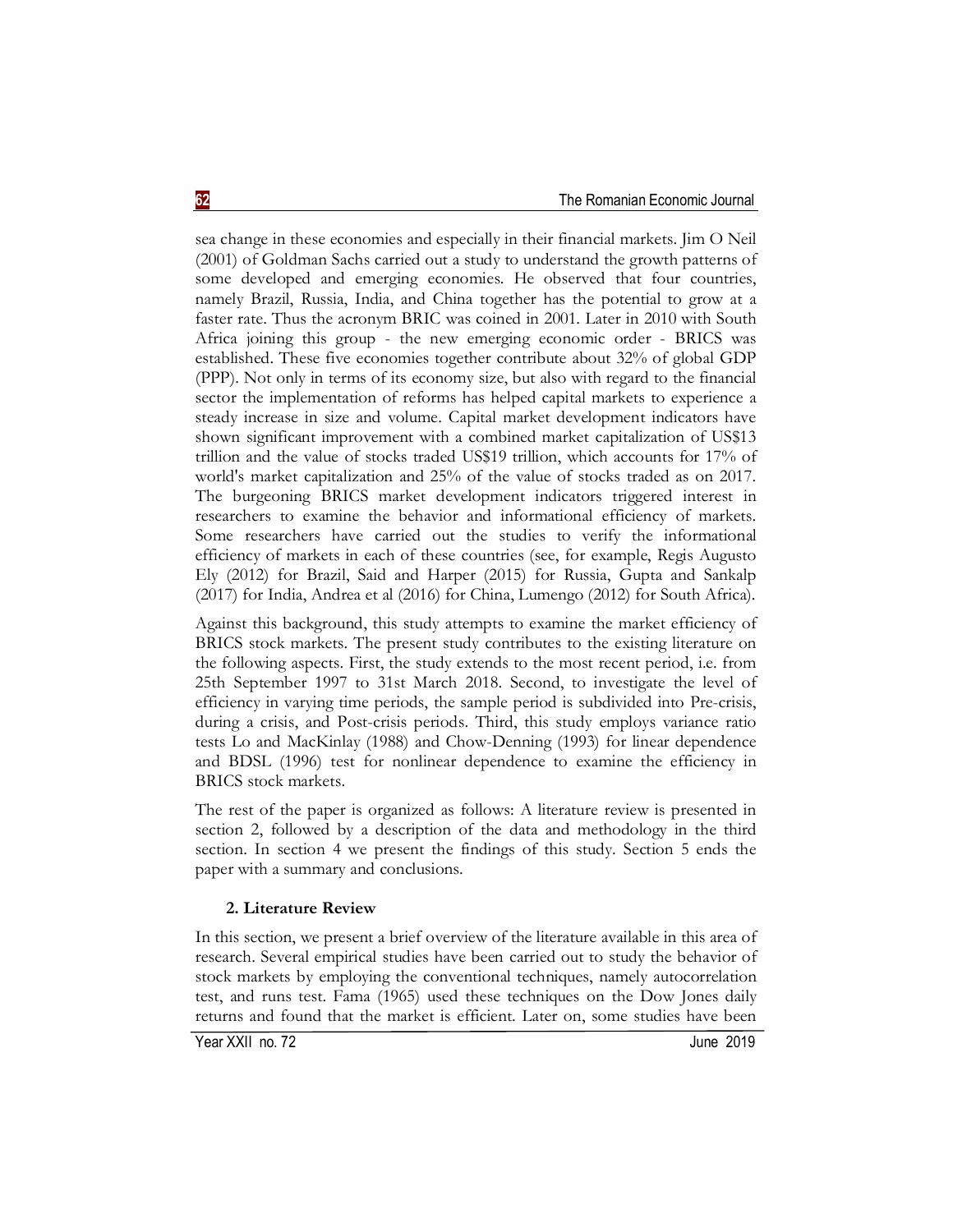sea change in these economies and especially in their financial markets. Jim O Neil (2001) of Goldman Sachs carried out a study to understand the growth patterns of some developed and emerging economies. He observed that four countries, namely Brazil, Russia, India, and China together has the potential to grow at a faster rate. Thus the acronym BRIC was coined in 2001. Later in 2010 with South Africa joining this group - the new emerging economic order - BRICS was established. These five economies together contribute about 32% of global GDP (PPP). Not only in terms of its economy size, but also with regard to the financial sector the implementation of reforms has helped capital markets to experience a steady increase in size and volume. Capital market development indicators have shown significant improvement with a combined market capitalization of US\$13 trillion and the value of stocks traded US\$19 trillion, which accounts for 17% of world's market capitalization and 25% of the value of stocks traded as on 2017. The burgeoning BRICS market development indicators triggered interest in researchers to examine the behavior and informational efficiency of markets. Some researchers have carried out the studies to verify the informational efficiency of markets in each of these countries (see, for example, Regis Augusto Ely (2012) for Brazil, Said and Harper (2015) for Russia, Gupta and Sankalp (2017) for India, Andrea et al (2016) for China, Lumengo (2012) for South Africa).

Against this background, this study attempts to examine the market efficiency of BRICS stock markets. The present study contributes to the existing literature on the following aspects. First, the study extends to the most recent period, i.e. from 25th September 1997 to 31st March 2018. Second, to investigate the level of efficiency in varying time periods, the sample period is subdivided into Pre-crisis, during a crisis, and Post-crisis periods. Third, this study employs variance ratio tests Lo and MacKinlay (1988) and Chow-Denning (1993) for linear dependence and BDSL (1996) test for nonlinear dependence to examine the efficiency in BRICS stock markets.

The rest of the paper is organized as follows: A literature review is presented in section 2, followed by a description of the data and methodology in the third section. In section 4 we present the findings of this study. Section 5 ends the paper with a summary and conclusions.

## **2. Literature Review**

In this section, we present a brief overview of the literature available in this area of research. Several empirical studies have been carried out to study the behavior of stock markets by employing the conventional techniques, namely autocorrelation test, and runs test. Fama (1965) used these techniques on the Dow Jones daily returns and found that the market is efficient. Later on, some studies have been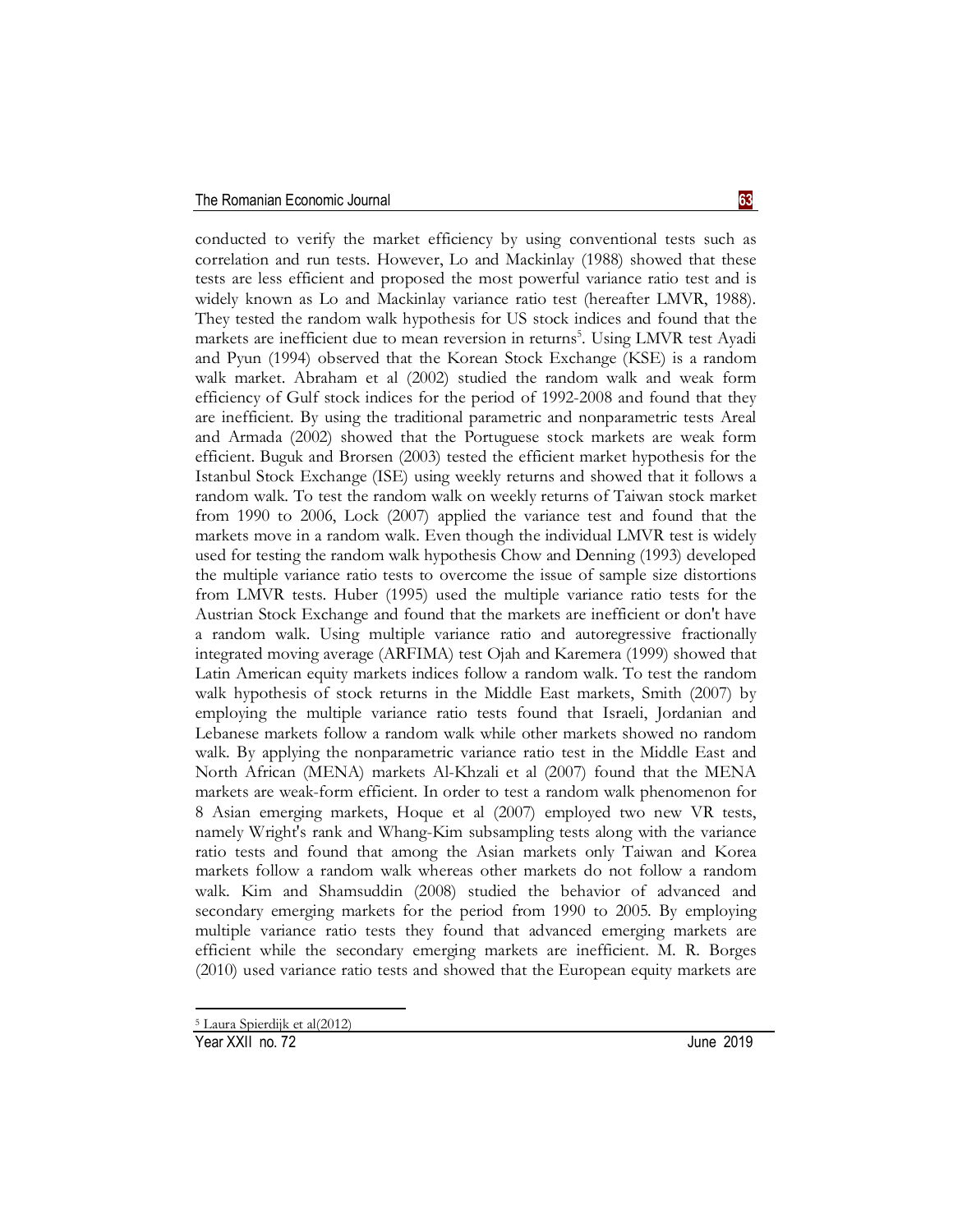conducted to verify the market efficiency by using conventional tests such as correlation and run tests. However, Lo and Mackinlay (1988) showed that these tests are less efficient and proposed the most powerful variance ratio test and is widely known as Lo and Mackinlay variance ratio test (hereafter LMVR, 1988). They tested the random walk hypothesis for US stock indices and found that the markets are inefficient due to mean reversion in returns<sup>5</sup>. Using LMVR test Ayadi and Pyun (1994) observed that the Korean Stock Exchange (KSE) is a random walk market. Abraham et al (2002) studied the random walk and weak form efficiency of Gulf stock indices for the period of 1992-2008 and found that they are inefficient. By using the traditional parametric and nonparametric tests Areal and Armada (2002) showed that the Portuguese stock markets are weak form efficient. Buguk and Brorsen (2003) tested the efficient market hypothesis for the Istanbul Stock Exchange (ISE) using weekly returns and showed that it follows a random walk. To test the random walk on weekly returns of Taiwan stock market from 1990 to 2006, Lock (2007) applied the variance test and found that the markets move in a random walk. Even though the individual LMVR test is widely used for testing the random walk hypothesis Chow and Denning (1993) developed the multiple variance ratio tests to overcome the issue of sample size distortions from LMVR tests. Huber (1995) used the multiple variance ratio tests for the Austrian Stock Exchange and found that the markets are inefficient or don't have a random walk. Using multiple variance ratio and autoregressive fractionally integrated moving average (ARFIMA) test Ojah and Karemera (1999) showed that Latin American equity markets indices follow a random walk. To test the random walk hypothesis of stock returns in the Middle East markets, Smith (2007) by employing the multiple variance ratio tests found that Israeli, Jordanian and Lebanese markets follow a random walk while other markets showed no random walk. By applying the nonparametric variance ratio test in the Middle East and North African (MENA) markets Al-Khzali et al (2007) found that the MENA markets are weak-form efficient. In order to test a random walk phenomenon for 8 Asian emerging markets, Hoque et al (2007) employed two new VR tests, namely Wright's rank and Whang-Kim subsampling tests along with the variance ratio tests and found that among the Asian markets only Taiwan and Korea markets follow a random walk whereas other markets do not follow a random walk. Kim and Shamsuddin (2008) studied the behavior of advanced and secondary emerging markets for the period from 1990 to 2005. By employing multiple variance ratio tests they found that advanced emerging markets are efficient while the secondary emerging markets are inefficient. M. R. Borges (2010) used variance ratio tests and showed that the European equity markets are

**.** 

<sup>5</sup> Laura Spierdijk et al(2012)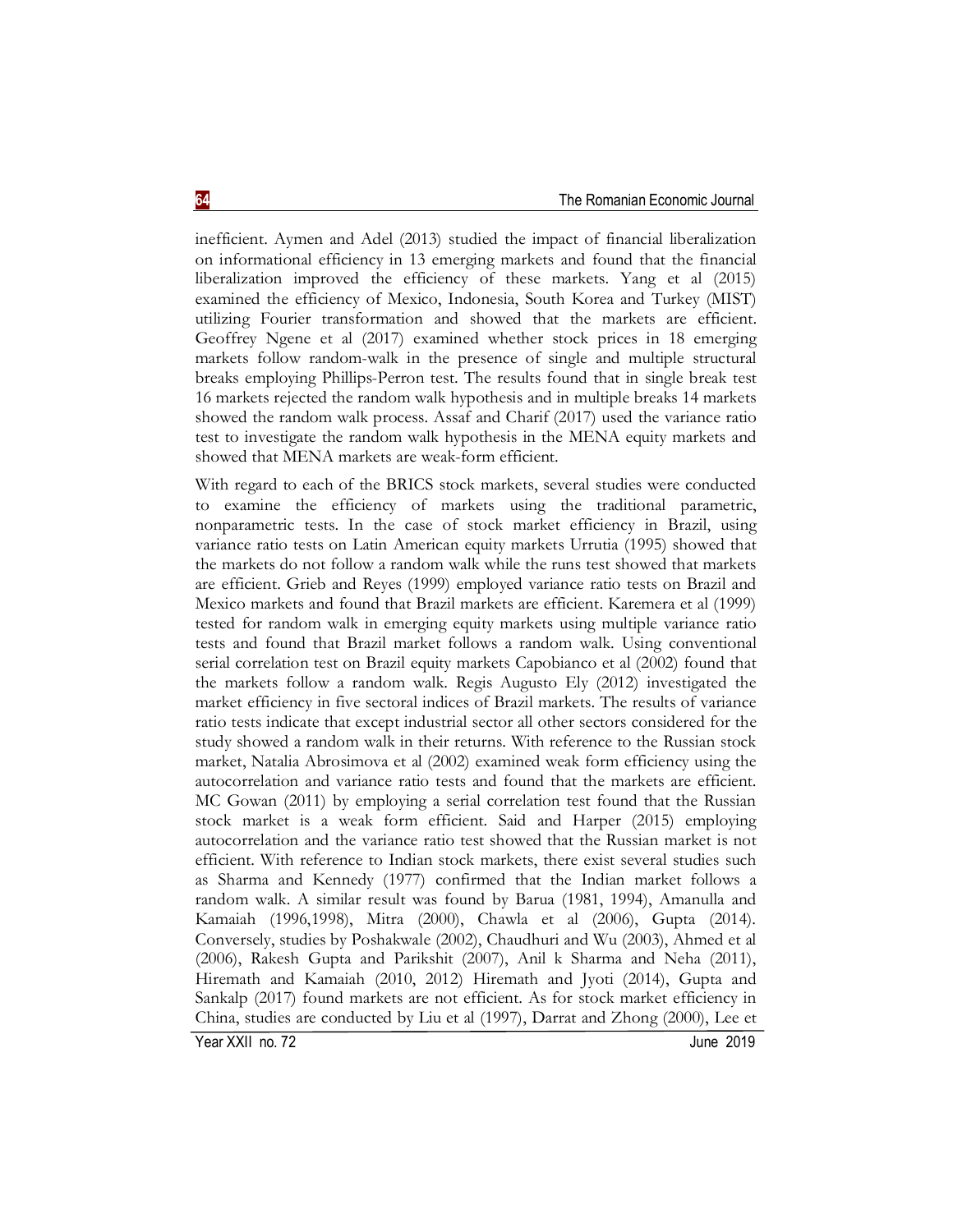inefficient. Aymen and Adel (2013) studied the impact of financial liberalization on informational efficiency in 13 emerging markets and found that the financial liberalization improved the efficiency of these markets. Yang et al (2015) examined the efficiency of Mexico, Indonesia, South Korea and Turkey (MIST) utilizing Fourier transformation and showed that the markets are efficient. Geoffrey Ngene et al (2017) examined whether stock prices in 18 emerging markets follow random-walk in the presence of single and multiple structural breaks employing Phillips-Perron test. The results found that in single break test 16 markets rejected the random walk hypothesis and in multiple breaks 14 markets showed the random walk process. Assaf and Charif (2017) used the variance ratio test to investigate the random walk hypothesis in the MENA equity markets and showed that MENA markets are weak-form efficient.

With regard to each of the BRICS stock markets, several studies were conducted to examine the efficiency of markets using the traditional parametric, nonparametric tests. In the case of stock market efficiency in Brazil, using variance ratio tests on Latin American equity markets Urrutia (1995) showed that the markets do not follow a random walk while the runs test showed that markets are efficient. Grieb and Reyes (1999) employed variance ratio tests on Brazil and Mexico markets and found that Brazil markets are efficient. Karemera et al (1999) tested for random walk in emerging equity markets using multiple variance ratio tests and found that Brazil market follows a random walk. Using conventional serial correlation test on Brazil equity markets Capobianco et al (2002) found that the markets follow a random walk. Regis Augusto Ely (2012) investigated the market efficiency in five sectoral indices of Brazil markets. The results of variance ratio tests indicate that except industrial sector all other sectors considered for the study showed a random walk in their returns. With reference to the Russian stock market, Natalia Abrosimova et al (2002) examined weak form efficiency using the autocorrelation and variance ratio tests and found that the markets are efficient. MC Gowan (2011) by employing a serial correlation test found that the Russian stock market is a weak form efficient. Said and Harper (2015) employing autocorrelation and the variance ratio test showed that the Russian market is not efficient. With reference to Indian stock markets, there exist several studies such as Sharma and Kennedy (1977) confirmed that the Indian market follows a random walk. A similar result was found by Barua (1981, 1994), Amanulla and Kamaiah (1996,1998), Mitra (2000), Chawla et al (2006), Gupta (2014). Conversely, studies by Poshakwale (2002), Chaudhuri and Wu (2003), Ahmed et al (2006), Rakesh Gupta and Parikshit (2007), Anil k Sharma and Neha (2011), Hiremath and Kamaiah (2010, 2012) Hiremath and Jyoti (2014), Gupta and Sankalp (2017) found markets are not efficient. As for stock market efficiency in China, studies are conducted by Liu et al (1997), Darrat and Zhong (2000), Lee et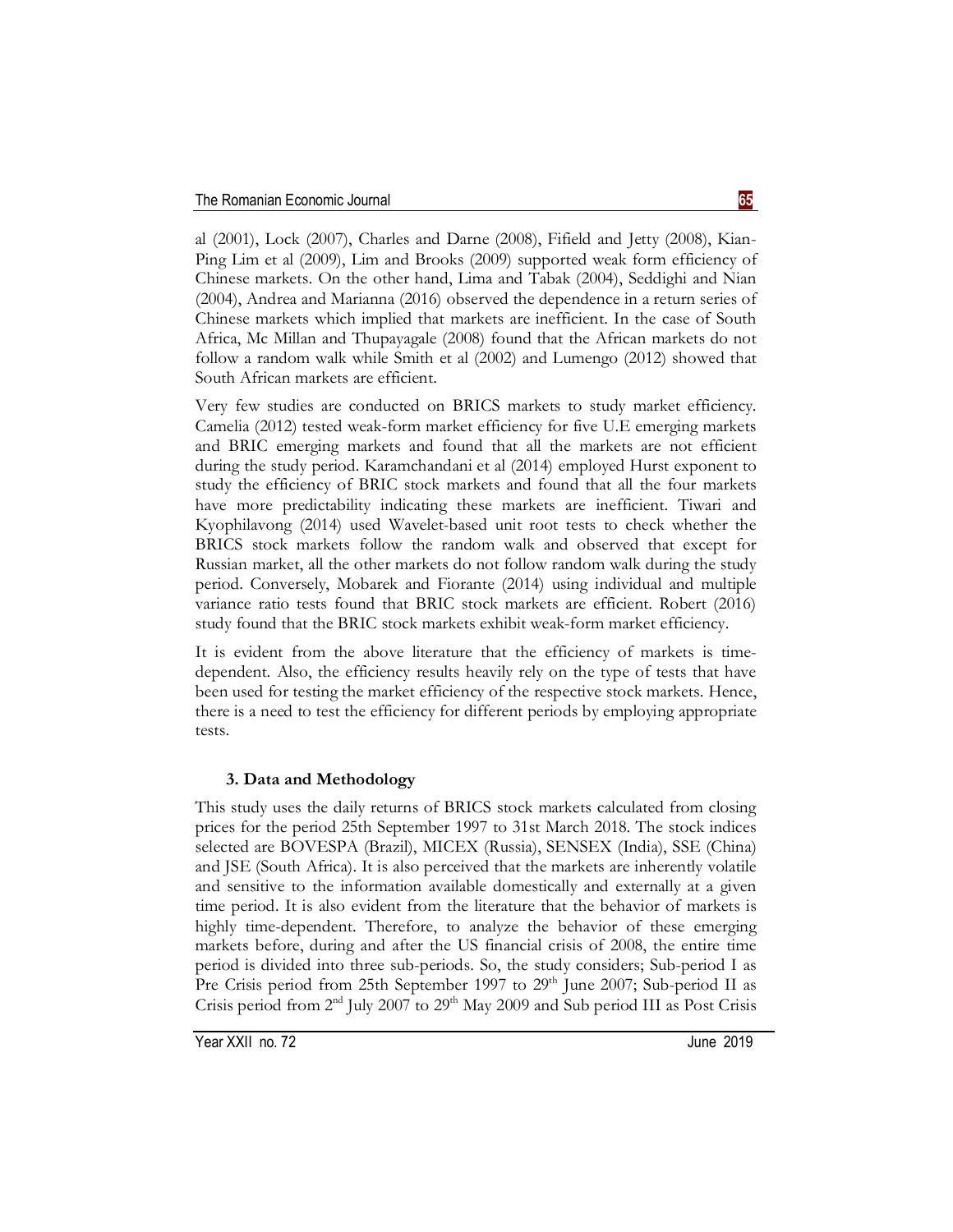al (2001), Lock (2007), Charles and Darne (2008), Fifield and Jetty (2008), Kian-Ping Lim et al (2009), Lim and Brooks (2009) supported weak form efficiency of Chinese markets. On the other hand, Lima and Tabak (2004), Seddighi and Nian (2004), Andrea and Marianna (2016) observed the dependence in a return series of Chinese markets which implied that markets are inefficient. In the case of South Africa, Mc Millan and Thupayagale (2008) found that the African markets do not follow a random walk while Smith et al (2002) and Lumengo (2012) showed that South African markets are efficient.

Very few studies are conducted on BRICS markets to study market efficiency. Camelia (2012) tested weak-form market efficiency for five U.E emerging markets and BRIC emerging markets and found that all the markets are not efficient during the study period. Karamchandani et al (2014) employed Hurst exponent to study the efficiency of BRIC stock markets and found that all the four markets have more predictability indicating these markets are inefficient. Tiwari and Kyophilavong (2014) used Wavelet-based unit root tests to check whether the BRICS stock markets follow the random walk and observed that except for Russian market, all the other markets do not follow random walk during the study period. Conversely, Mobarek and Fiorante (2014) using individual and multiple variance ratio tests found that BRIC stock markets are efficient. Robert (2016) study found that the BRIC stock markets exhibit weak-form market efficiency.

It is evident from the above literature that the efficiency of markets is timedependent. Also, the efficiency results heavily rely on the type of tests that have been used for testing the market efficiency of the respective stock markets. Hence, there is a need to test the efficiency for different periods by employing appropriate tests.

# **3. Data and Methodology**

This study uses the daily returns of BRICS stock markets calculated from closing prices for the period 25th September 1997 to 31st March 2018. The stock indices selected are BOVESPA (Brazil), MICEX (Russia), SENSEX (India), SSE (China) and JSE (South Africa). It is also perceived that the markets are inherently volatile and sensitive to the information available domestically and externally at a given time period. It is also evident from the literature that the behavior of markets is highly time-dependent. Therefore, to analyze the behavior of these emerging markets before, during and after the US financial crisis of 2008, the entire time period is divided into three sub-periods. So, the study considers; Sub-period I as Pre Crisis period from 25th September 1997 to 29<sup>th</sup> June 2007; Sub-period II as Crisis period from  $2<sup>nd</sup>$  July 2007 to  $29<sup>th</sup>$  May 2009 and Sub period III as Post Crisis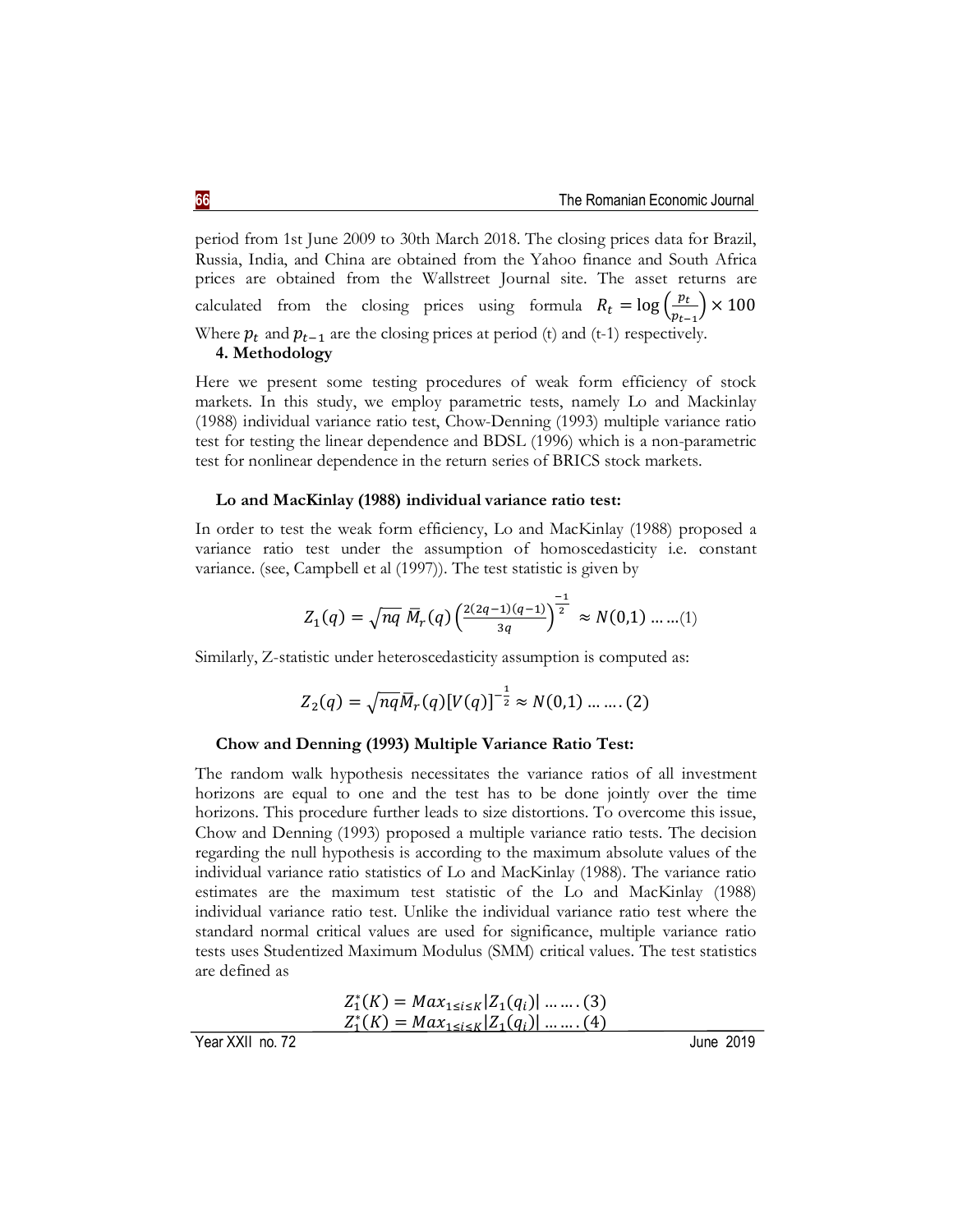period from 1st June 2009 to 30th March 2018. The closing prices data for Brazil, Russia, India, and China are obtained from the Yahoo finance and South Africa prices are obtained from the Wallstreet Journal site. The asset returns are calculated from the closing prices using formula  $R_t = \log \left( \frac{p_t}{n} \right)$  $\frac{pt}{p_{t-1}}$   $\times$  100 Where  $p_t$  and  $p_{t-1}$  are the closing prices at period (t) and (t-1) respectively. **4. Methodology**

Here we present some testing procedures of weak form efficiency of stock markets. In this study, we employ parametric tests, namely Lo and Mackinlay (1988) individual variance ratio test, Chow-Denning (1993) multiple variance ratio test for testing the linear dependence and BDSL (1996) which is a non-parametric test for nonlinear dependence in the return series of BRICS stock markets.

#### **Lo and MacKinlay (1988) individual variance ratio test:**

In order to test the weak form efficiency, Lo and MacKinlay (1988) proposed a variance ratio test under the assumption of homoscedasticity i.e. constant variance. (see, Campbell et al (1997)). The test statistic is given by

$$
Z_1(q) = \sqrt{nq} \; \overline{M}_r(q) \left( \frac{2(2q-1)(q-1)}{3q} \right)^{\frac{-1}{2}} \approx N(0,1) \; ....... (1)
$$

Similarly, Z-statistic under heteroscedasticity assumption is computed as:

$$
Z_2(q) = \sqrt{nq} \overline{M}_r(q) [V(q)]^{-\frac{1}{2}} \approx N(0,1) \dots \dots (2)
$$

#### **Chow and Denning (1993) Multiple Variance Ratio Test:**

The random walk hypothesis necessitates the variance ratios of all investment horizons are equal to one and the test has to be done jointly over the time horizons. This procedure further leads to size distortions. To overcome this issue, Chow and Denning (1993) proposed a multiple variance ratio tests. The decision regarding the null hypothesis is according to the maximum absolute values of the individual variance ratio statistics of Lo and MacKinlay (1988). The variance ratio estimates are the maximum test statistic of the Lo and MacKinlay (1988) individual variance ratio test. Unlike the individual variance ratio test where the standard normal critical values are used for significance, multiple variance ratio tests uses Studentized Maximum Modulus (SMM) critical values. The test statistics are defined as

$$
Z_1^*(K) = Max_{1 \le i \le K} |Z_1(q_i)| \dots \dots (3)
$$
  
\n
$$
Z_1^*(K) = Max_{1 \le i \le K} |Z_1(q_i)| \dots \dots (4)
$$
  
\nYear XXII no. 72  
\nJune 2019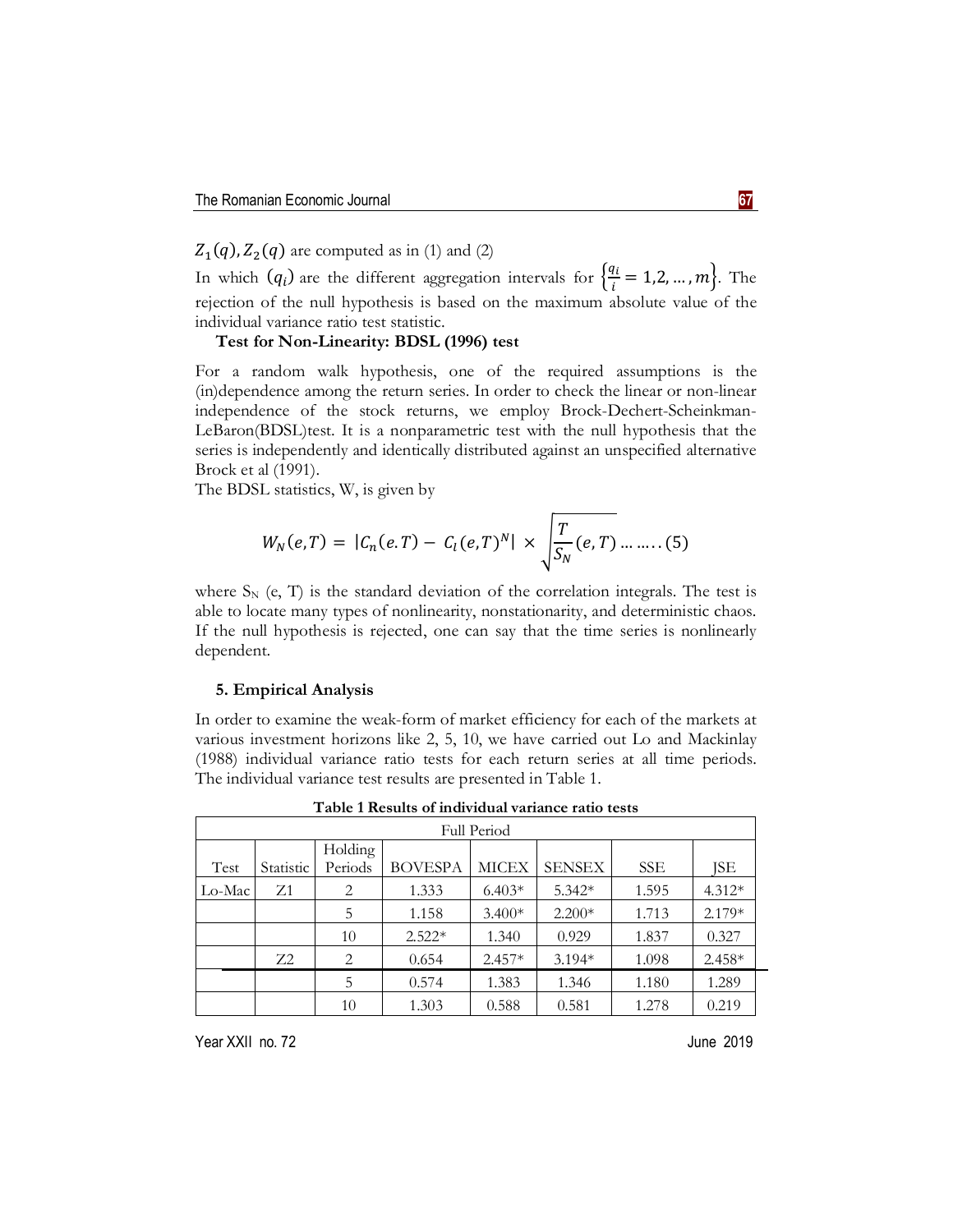$Z_1(q)$ ,  $Z_2(q)$  are computed as in (1) and (2)

In which  $(q_i)$  are the different aggregation intervals for  $\frac{q_i}{q_i}$  $\frac{di}{i} = 1, 2, ..., m$ . The rejection of the null hypothesis is based on the maximum absolute value of the individual variance ratio test statistic.

## **Test for Non-Linearity: BDSL (1996) test**

For a random walk hypothesis, one of the required assumptions is the (in)dependence among the return series. In order to check the linear or non-linear independence of the stock returns, we employ Brock-Dechert-Scheinkman-LeBaron(BDSL)test. It is a nonparametric test with the null hypothesis that the series is independently and identically distributed against an unspecified alternative Brock et al (1991).

The BDSL statistics, W, is given by

$$
W_N(e,T) = |C_n(e,T) - C_l(e,T)^N| \times \sqrt{\frac{T}{S_N}(e,T) \dots \dots \dots (5)}
$$

where  $S_N$  (e, T) is the standard deviation of the correlation integrals. The test is able to locate many types of nonlinearity, nonstationarity, and deterministic chaos. If the null hypothesis is rejected, one can say that the time series is nonlinearly dependent.

#### **5. Empirical Analysis**

In order to examine the weak-form of market efficiency for each of the markets at various investment horizons like 2, 5, 10, we have carried out Lo and Mackinlay (1988) individual variance ratio tests for each return series at all time periods. The individual variance test results are presented in Table 1.

| <b>Full Period</b> |           |         |                |              |               |            |          |  |  |
|--------------------|-----------|---------|----------------|--------------|---------------|------------|----------|--|--|
|                    |           | Holding |                |              |               |            |          |  |  |
| Test               | Statistic | Periods | <b>BOVESPA</b> | <b>MICEX</b> | <b>SENSEX</b> | <b>SSE</b> | ISE      |  |  |
| Lo-Mac             | Z1        | 2       | 1.333          | $6.403*$     | $5.342*$      | 1.595      | $4.312*$ |  |  |
|                    |           | 5       | 1.158          | $3.400*$     | $2.200*$      | 1.713      | $2.179*$ |  |  |
|                    |           | 10      | $2.522*$       | 1.340        | 0.929         | 1.837      | 0.327    |  |  |
|                    | $Z^2$     | 2       | 0.654          | $2.457*$     | $3.194*$      | 1.098      | $2.458*$ |  |  |
|                    |           | 5       | 0.574          | 1.383        | 1.346         | 1.180      | 1.289    |  |  |
|                    |           | 10      | 1.303          | 0.588        | 0.581         | 1.278      | 0.219    |  |  |

**Table 1 Results of individual variance ratio tests**

Year XXII no. 72 **June 2019**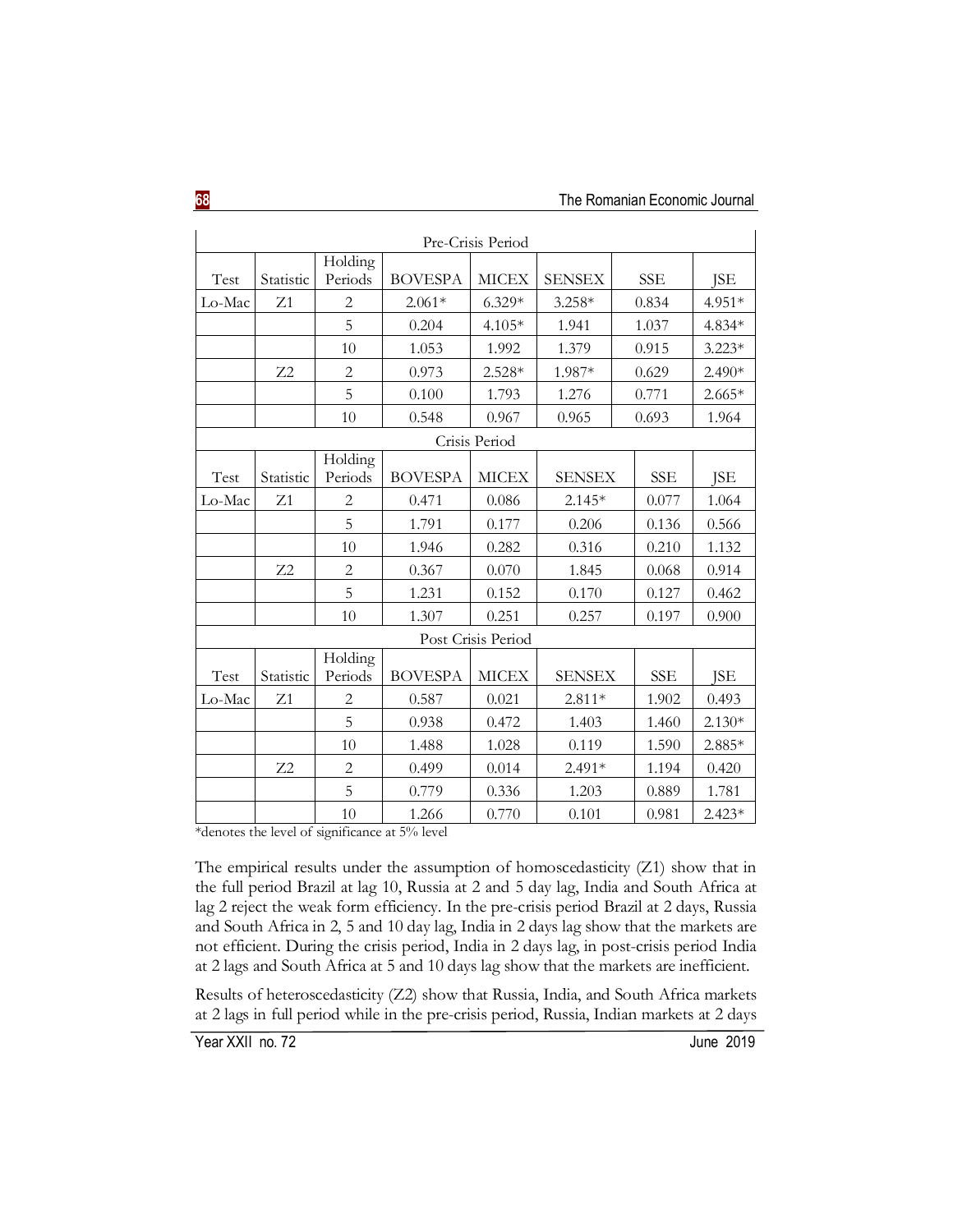| Pre-Crisis Period |                |                    |                |                    |               |            |            |
|-------------------|----------------|--------------------|----------------|--------------------|---------------|------------|------------|
| Test              | Statistic      | Holding<br>Periods | <b>BOVESPA</b> | <b>MICEX</b>       | <b>SENSEX</b> | <b>SSE</b> | <b>JSE</b> |
| Lo-Mac            | Z1             | $\overline{2}$     | $2.061*$       | $6.329*$           | $3.258*$      | 0.834      | 4.951*     |
|                   |                | 5                  | 0.204          | $4.105*$           | 1.941         | 1.037      | 4.834*     |
|                   |                | 10                 | 1.053          | 1.992              | 1.379         | 0.915      | $3.223*$   |
|                   | Z <sub>2</sub> | $\overline{2}$     | 0.973          | 2.528*             | 1.987*        | 0.629      | 2.490*     |
|                   |                | 5                  | 0.100          | 1.793              | 1.276         | 0.771      | $2.665*$   |
|                   |                | 10                 | 0.548          | 0.967              | 0.965         | 0.693      | 1.964      |
|                   |                |                    |                | Crisis Period      |               |            |            |
| Test              | Statistic      | Holding<br>Periods | <b>BOVESPA</b> | <b>MICEX</b>       | <b>SENSEX</b> | <b>SSE</b> | <b>ISE</b> |
| Lo-Mac            | Z1             | $\overline{2}$     | 0.471          | 0.086              | $2.145*$      | 0.077      | 1.064      |
|                   |                | 5                  | 1.791          | 0.177              | 0.206         | 0.136      | 0.566      |
|                   |                | 10                 | 1.946          | 0.282              | 0.316         | 0.210      | 1.132      |
|                   | Z2             | $\overline{c}$     | 0.367          | 0.070              | 1.845         | 0.068      | 0.914      |
|                   |                | 5                  | 1.231          | 0.152              | 0.170         | 0.127      | 0.462      |
|                   |                | 10                 | 1.307          | 0.251              | 0.257         | 0.197      | 0.900      |
|                   |                |                    |                | Post Crisis Period |               |            |            |
| Test              | Statistic      | Holding<br>Periods | <b>BOVESPA</b> | <b>MICEX</b>       | <b>SENSEX</b> | <b>SSE</b> | <b>JSE</b> |
| Lo-Mac            | Z1             | $\overline{2}$     | 0.587          | 0.021              | $2.811*$      | 1.902      | 0.493      |
|                   |                | 5                  | 0.938          | 0.472              | 1.403         | 1.460      | $2.130*$   |
|                   |                | 10                 | 1.488          | 1.028              | 0.119         | 1.590      | 2.885*     |
|                   | Z <sub>2</sub> | $\overline{c}$     | 0.499          | 0.014              | 2.491*        | 1.194      | 0.420      |
|                   |                | 5                  | 0.779          | 0.336              | 1.203         | 0.889      | 1.781      |
|                   |                | 10                 | 1.266          | 0.770              | 0.101         | 0.981      | $2.423*$   |

\*denotes the level of significance at 5% level

The empirical results under the assumption of homoscedasticity (Z1) show that in the full period Brazil at lag 10, Russia at 2 and 5 day lag, India and South Africa at lag 2 reject the weak form efficiency. In the pre-crisis period Brazil at 2 days, Russia and South Africa in 2, 5 and 10 day lag, India in 2 days lag show that the markets are not efficient. During the crisis period, India in 2 days lag, in post-crisis period India at 2 lags and South Africa at 5 and 10 days lag show that the markets are inefficient.

Results of heteroscedasticity (Z2) show that Russia, India, and South Africa markets at 2 lags in full period while in the pre-crisis period, Russia, Indian markets at 2 days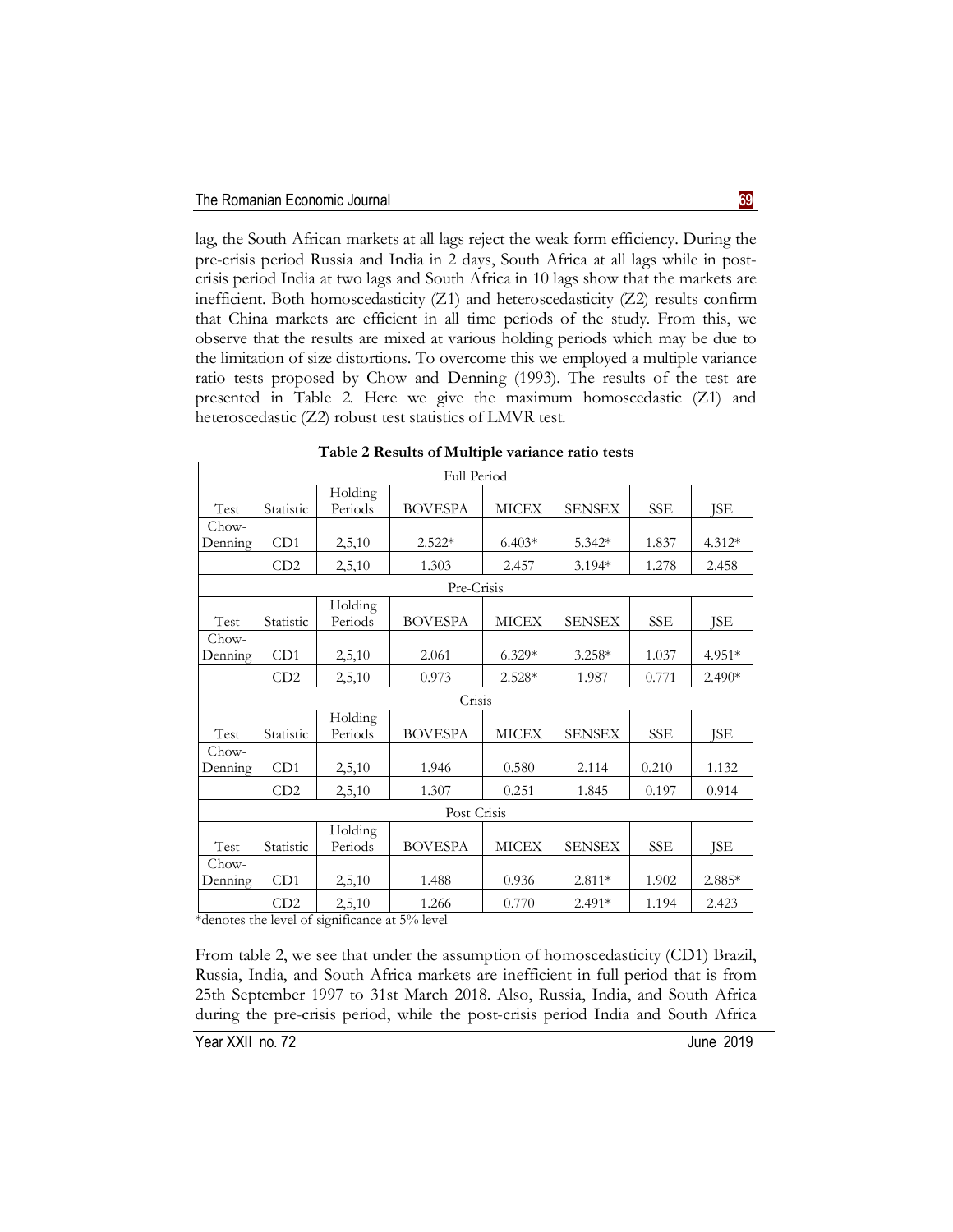lag, the South African markets at all lags reject the weak form efficiency. During the pre-crisis period Russia and India in 2 days, South Africa at all lags while in postcrisis period India at two lags and South Africa in 10 lags show that the markets are inefficient. Both homoscedasticity (Z1) and heteroscedasticity (Z2) results confirm that China markets are efficient in all time periods of the study. From this, we observe that the results are mixed at various holding periods which may be due to the limitation of size distortions. To overcome this we employed a multiple variance ratio tests proposed by Chow and Denning (1993). The results of the test are presented in Table 2. Here we give the maximum homoscedastic (Z1) and heteroscedastic (Z2) robust test statistics of LMVR test.

|                  |           |                    | <b>Full Period</b> |              |               |            |          |
|------------------|-----------|--------------------|--------------------|--------------|---------------|------------|----------|
| Test             | Statistic | Holding<br>Periods | <b>BOVESPA</b>     | <b>MICEX</b> | <b>SENSEX</b> | SSE        | ISE      |
| Chow-            |           |                    |                    |              |               |            |          |
| Denning          | CD1       | 2,5,10             | $2.522*$           | $6.403*$     | 5.342*        | 1.837      | 4.312*   |
|                  | CD2       | 2,5,10             | 1.303              | 2.457        | 3.194*        | 1.278      | 2.458    |
|                  |           |                    | Pre-Crisis         |              |               |            |          |
| Test             | Statistic | Holding<br>Periods | <b>BOVESPA</b>     | <b>MICEX</b> | <b>SENSEX</b> | SSE        | JSE      |
| Chow-            |           |                    |                    |              |               |            |          |
| Denning          | CD1       | 2,5,10             | 2.061              | $6.329*$     | $3.258*$      | 1.037      | 4.951*   |
|                  | CD2       | 2,5,10             | 0.973              | $2.528*$     | 1.987         | 0.771      | $2.490*$ |
|                  |           |                    | Crisis             |              |               |            |          |
| Test             | Statistic | Holding<br>Periods | <b>BOVESPA</b>     | <b>MICEX</b> | <b>SENSEX</b> | SSE        | JSE      |
| Chow-            |           |                    |                    |              |               |            |          |
| Denning          | CD1       | 2,5,10             | 1.946              | 0.580        | 2.114         | 0.210      | 1.132    |
|                  | CD2       | 2,5,10             | 1.307              | 0.251        | 1.845         | 0.197      | 0.914    |
|                  |           |                    | Post Crisis        |              |               |            |          |
| Test             | Statistic | Holding<br>Periods | <b>BOVESPA</b>     | <b>MICEX</b> | <b>SENSEX</b> | <b>SSE</b> | JSE      |
| Chow-<br>Denning | CD1       | 2,5,10             | 1.488              | 0.936        | 2.811*        | 1.902      | 2.885*   |
|                  | CD2       | 2,5,10             | 1.266              | 0.770        | 2.491*        | 1.194      | 2.423    |

**Table 2 Results of Multiple variance ratio tests**

\*denotes the level of significance at 5% level

From table 2, we see that under the assumption of homoscedasticity (CD1) Brazil, Russia, India, and South Africa markets are inefficient in full period that is from 25th September 1997 to 31st March 2018. Also, Russia, India, and South Africa during the pre-crisis period, while the post-crisis period India and South Africa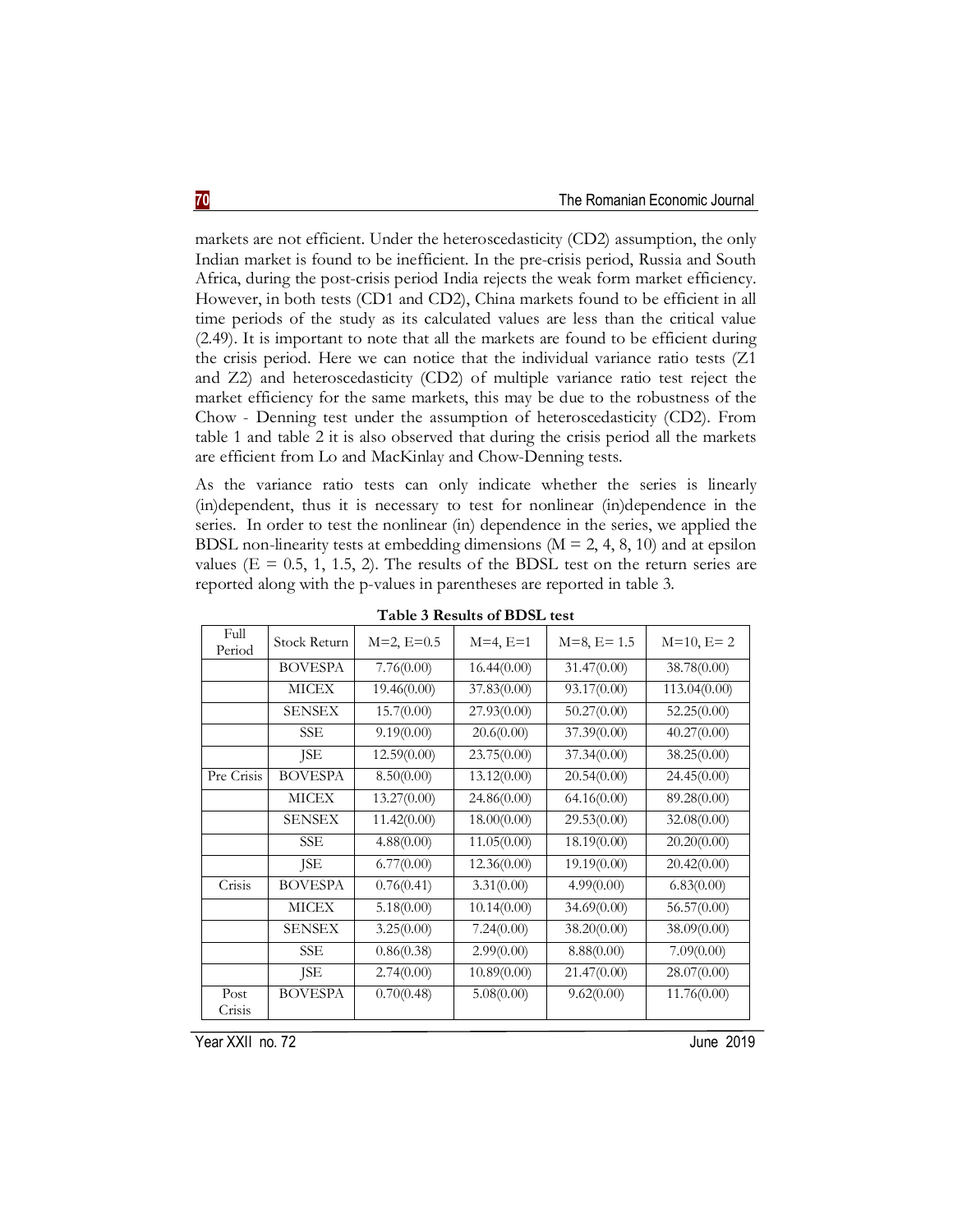markets are not efficient. Under the heteroscedasticity (CD2) assumption, the only Indian market is found to be inefficient. In the pre-crisis period, Russia and South Africa, during the post-crisis period India rejects the weak form market efficiency. However, in both tests (CD1 and CD2), China markets found to be efficient in all time periods of the study as its calculated values are less than the critical value (2.49). It is important to note that all the markets are found to be efficient during the crisis period. Here we can notice that the individual variance ratio tests (Z1 and Z2) and heteroscedasticity (CD2) of multiple variance ratio test reject the market efficiency for the same markets, this may be due to the robustness of the Chow - Denning test under the assumption of heteroscedasticity (CD2). From table 1 and table 2 it is also observed that during the crisis period all the markets are efficient from Lo and MacKinlay and Chow-Denning tests.

As the variance ratio tests can only indicate whether the series is linearly (in)dependent, thus it is necessary to test for nonlinear (in)dependence in the series. In order to test the nonlinear (in) dependence in the series, we applied the BDSL non-linearity tests at embedding dimensions ( $M = 2, 4, 8, 10$ ) and at epsilon values ( $E = 0.5, 1, 1.5, 2$ ). The results of the BDSL test on the return series are reported along with the p-values in parentheses are reported in table 3.

| Full           | Stock Return   | $M=2, E=0.5$ | $M=4, E=1$  | $M=8, E=1.5$ | $M=10, E=2$  |
|----------------|----------------|--------------|-------------|--------------|--------------|
| Period         |                |              |             |              |              |
|                | <b>BOVESPA</b> | 7.76(0.00)   | 16.44(0.00) | 31.47(0.00)  | 38.78(0.00)  |
|                | MICEX          | 19.46(0.00)  | 37.83(0.00) | 93.17(0.00)  | 113.04(0.00) |
|                | <b>SENSEX</b>  | 15.7(0.00)   | 27.93(0.00) | 50.27(0.00)  | 52.25(0.00)  |
|                | SSE            | 9.19(0.00)   | 20.6(0.00)  | 37.39(0.00)  | 40.27(0.00)  |
|                | JSE            | 12.59(0.00)  | 23.75(0.00) | 37.34(0.00)  | 38.25(0.00)  |
| Pre Crisis     | <b>BOVESPA</b> | 8.50(0.00)   | 13.12(0.00) | 20.54(0.00)  | 24.45(0.00)  |
|                | <b>MICEX</b>   | 13.27(0.00)  | 24.86(0.00) | 64.16(0.00)  | 89.28(0.00)  |
|                | <b>SENSEX</b>  | 11.42(0.00)  | 18.00(0.00) | 29.53(0.00)  | 32.08(0.00)  |
|                | SSE            | 4.88(0.00)   | 11.05(0.00) | 18.19(0.00)  | 20.20(0.00)  |
|                | JSE            | 6.77(0.00)   | 12.36(0.00) | 19.19(0.00)  | 20.42(0.00)  |
| Crisis         | <b>BOVESPA</b> | 0.76(0.41)   | 3.31(0.00)  | 4.99(0.00)   | 6.83(0.00)   |
|                | <b>MICEX</b>   | 5.18(0.00)   | 10.14(0.00) | 34.69(0.00)  | 56.57(0.00)  |
|                | <b>SENSEX</b>  | 3.25(0.00)   | 7.24(0.00)  | 38.20(0.00)  | 38.09(0.00)  |
|                | SSE            | 0.86(0.38)   | 2.99(0.00)  | 8.88(0.00)   | 7.09(0.00)   |
|                | JSE            | 2.74(0.00)   | 10.89(0.00) | 21.47(0.00)  | 28.07(0.00)  |
| Post<br>Crisis | <b>BOVESPA</b> | 0.70(0.48)   | 5.08(0.00)  | 9.62(0.00)   | 11.76(0.00)  |

| Table 3 Results of BDSL test |  |  |  |  |  |  |
|------------------------------|--|--|--|--|--|--|
|------------------------------|--|--|--|--|--|--|

Year XXII no. 72 June 2019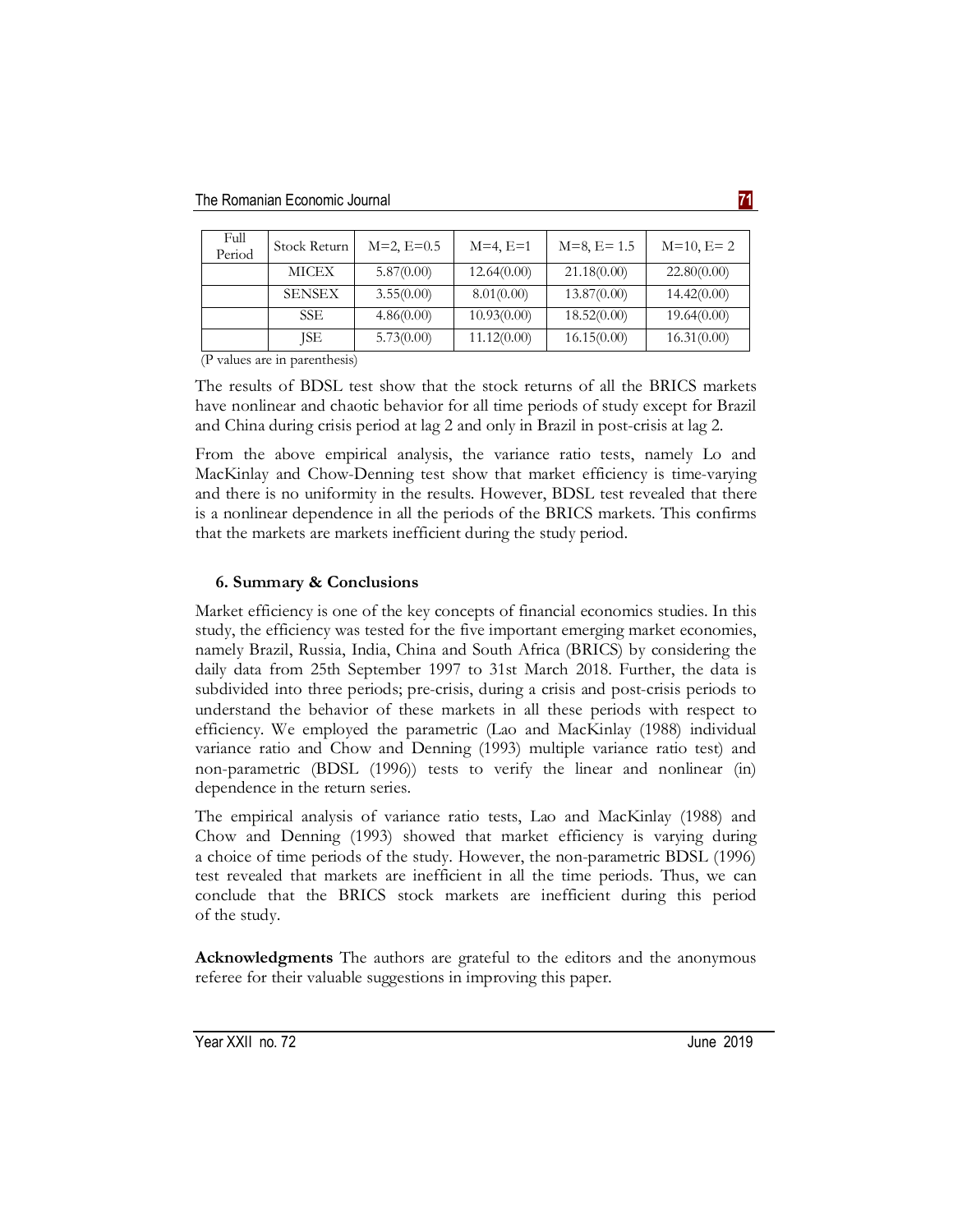| Full<br>Period | Stock Return  | $M=2, E=0.5$ | $M=4, E=1$  | $M=8, E=1.5$ | $M=10, E=2$ |
|----------------|---------------|--------------|-------------|--------------|-------------|
|                | MICEX         | 5.87(0.00)   | 12.64(0.00) | 21.18(0.00)  | 22.80(0.00) |
|                | <b>SENSEX</b> | 3.55(0.00)   | 8.01(0.00)  | 13.87(0.00)  | 14.42(0.00) |
|                | SSE.          | 4.86(0.00)   | 10.93(0.00) | 18.52(0.00)  | 19.64(0.00) |
|                | ISE           | 5.73(0.00)   | 11.12(0.00) | 16.15(0.00)  | 16.31(0.00) |

(P values are in parenthesis)

The results of BDSL test show that the stock returns of all the BRICS markets have nonlinear and chaotic behavior for all time periods of study except for Brazil and China during crisis period at lag 2 and only in Brazil in post-crisis at lag 2.

From the above empirical analysis, the variance ratio tests, namely Lo and MacKinlay and Chow-Denning test show that market efficiency is time-varying and there is no uniformity in the results. However, BDSL test revealed that there is a nonlinear dependence in all the periods of the BRICS markets. This confirms that the markets are markets inefficient during the study period.

# **6. Summary & Conclusions**

Market efficiency is one of the key concepts of financial economics studies. In this study, the efficiency was tested for the five important emerging market economies, namely Brazil, Russia, India, China and South Africa (BRICS) by considering the daily data from 25th September 1997 to 31st March 2018. Further, the data is subdivided into three periods; pre-crisis, during a crisis and post-crisis periods to understand the behavior of these markets in all these periods with respect to efficiency. We employed the parametric (Lao and MacKinlay (1988) individual variance ratio and Chow and Denning (1993) multiple variance ratio test) and non-parametric (BDSL (1996)) tests to verify the linear and nonlinear (in) dependence in the return series.

The empirical analysis of variance ratio tests, Lao and MacKinlay (1988) and Chow and Denning (1993) showed that market efficiency is varying during a choice of time periods of the study. However, the non-parametric BDSL (1996) test revealed that markets are inefficient in all the time periods. Thus, we can conclude that the BRICS stock markets are inefficient during this period of the study.

**Acknowledgments** The authors are grateful to the editors and the anonymous referee for their valuable suggestions in improving this paper.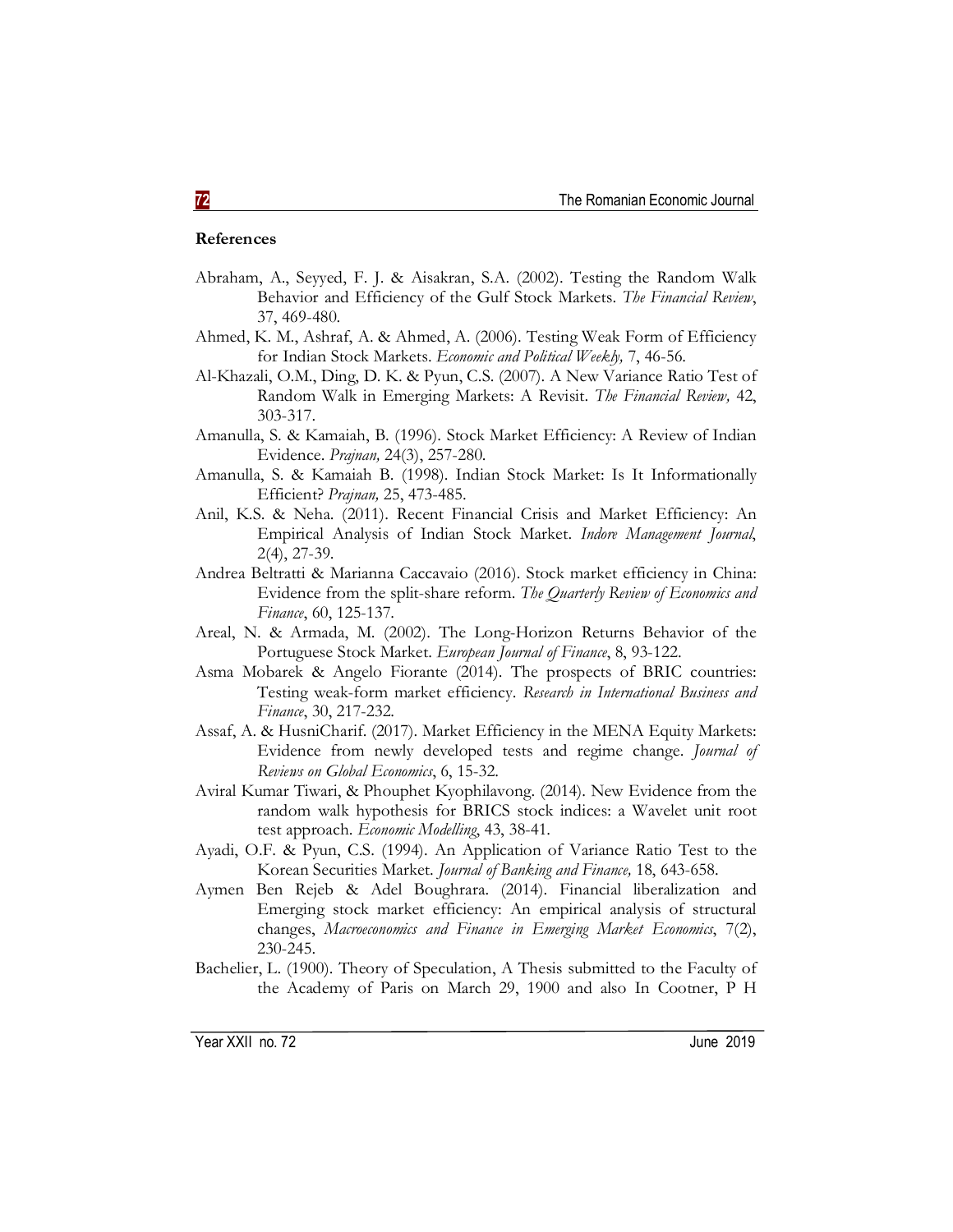## **References**

- Abraham, A., Seyyed, F. J. & Aisakran, S.A. (2002). Testing the Random Walk Behavior and Efficiency of the Gulf Stock Markets. *The Financial Review*, 37, 469-480.
- Ahmed, K. M., Ashraf, A. & Ahmed, A. (2006). Testing Weak Form of Efficiency for Indian Stock Markets. *Economic and Political Weekly,* 7, 46-56.
- Al-Khazali, O.M., Ding, D. K. & Pyun, C.S. (2007). A New Variance Ratio Test of Random Walk in Emerging Markets: A Revisit. *The Financial Review,* 42, 303-317.
- Amanulla, S. & Kamaiah, B. (1996). Stock Market Efficiency: A Review of Indian Evidence. *Prajnan,* 24(3), 257-280.
- Amanulla, S. & Kamaiah B. (1998). Indian Stock Market: Is It Informationally Efficient? *Prajnan,* 25, 473-485.
- Anil, K.S. & Neha. (2011). Recent Financial Crisis and Market Efficiency: An Empirical Analysis of Indian Stock Market. *Indore Management Journal*, 2(4), 27-39.
- Andrea Beltratti & Marianna Caccavaio (2016). Stock market efficiency in China: Evidence from the split-share reform. *The Quarterly Review of Economics and Finance*, 60, 125-137.
- Areal, N. & Armada, M. (2002). The Long-Horizon Returns Behavior of the Portuguese Stock Market. *European Journal of Finance*, 8, 93-122.
- Asma Mobarek & Angelo Fiorante (2014). The prospects of BRIC countries: Testing weak-form market efficiency. *Research in International Business and Finance*, 30, 217-232.
- Assaf, A. & HusniCharif. (2017). Market Efficiency in the MENA Equity Markets: Evidence from newly developed tests and regime change. *Journal of Reviews on Global Economics*, 6, 15-32.
- Aviral Kumar Tiwari, & Phouphet Kyophilavong. (2014). New Evidence from the random walk hypothesis for BRICS stock indices: a Wavelet unit root test approach. *Economic Modelling*, 43, 38-41.
- Ayadi, O.F. & Pyun, C.S. (1994). An Application of Variance Ratio Test to the Korean Securities Market. *Journal of Banking and Finance,* 18, 643-658.
- Aymen Ben Rejeb & Adel Boughrara. (2014). Financial liberalization and Emerging stock market efficiency: An empirical analysis of structural changes, *Macroeconomics and Finance in Emerging Market Economics*, 7(2), 230-245.
- Bachelier, L. (1900). Theory of Speculation, A Thesis submitted to the Faculty of the Academy of Paris on March 29, 1900 and also In Cootner, P H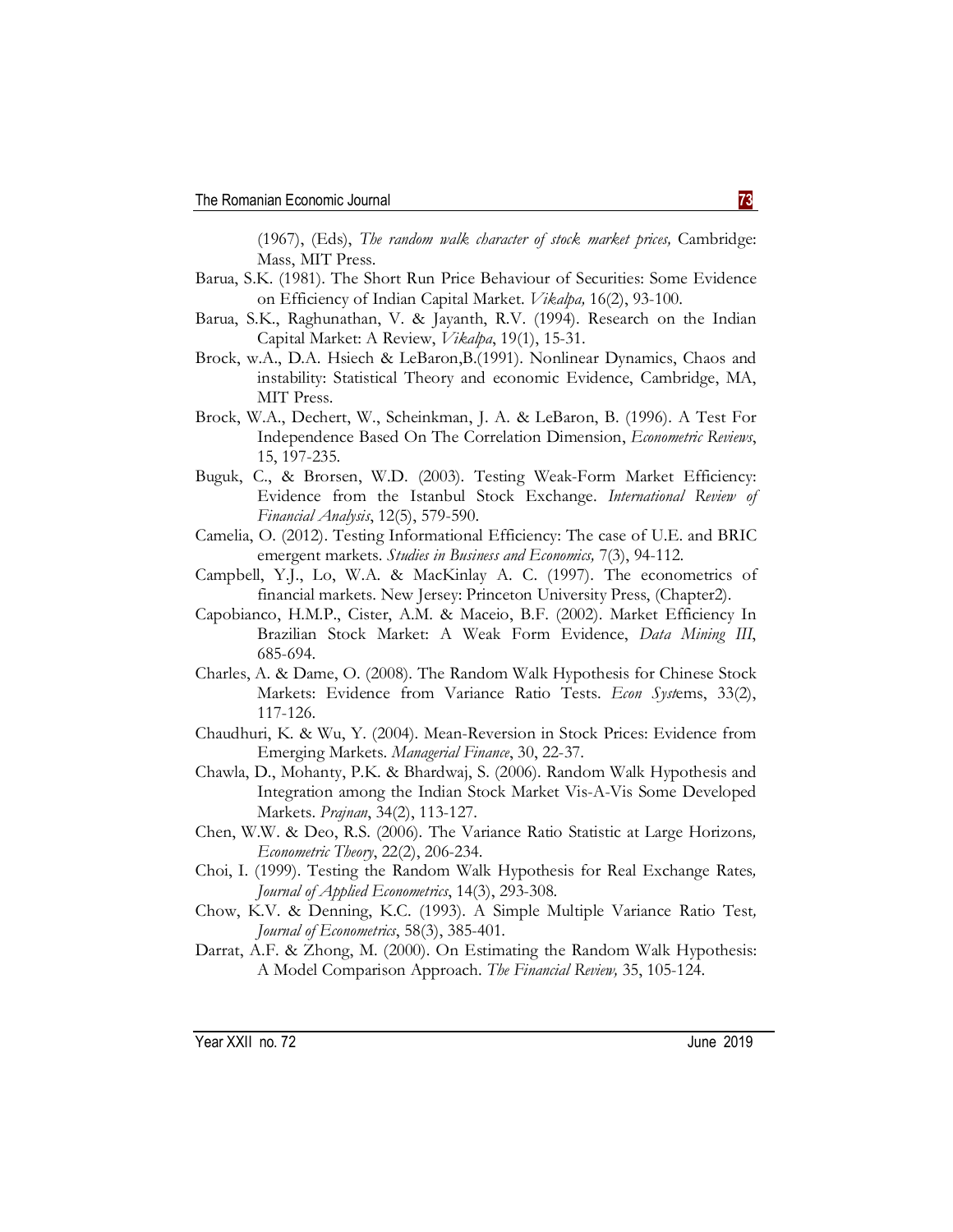(1967), (Eds), *The random walk character of stock market prices,* Cambridge: Mass, MIT Press.

- Barua, S.K. (1981). The Short Run Price Behaviour of Securities: Some Evidence on Efficiency of Indian Capital Market. *Vikalpa,* 16(2), 93-100.
- Barua, S.K., Raghunathan, V. & Jayanth, R.V. (1994). Research on the Indian Capital Market: A Review, *Vikalpa*, 19(1), 15-31.
- Brock, w.A., D.A. Hsiech & LeBaron,B.(1991). Nonlinear Dynamics, Chaos and instability: Statistical Theory and economic Evidence, Cambridge, MA, MIT Press.
- Brock, W.A., Dechert, W., Scheinkman, J. A. & LeBaron, B. (1996). A Test For Independence Based On The Correlation Dimension, *Econometric Reviews*, 15, 197-235.
- Buguk, C., & Brorsen, W.D. (2003). Testing Weak-Form Market Efficiency: Evidence from the Istanbul Stock Exchange. *International Review of Financial Analysis*, 12(5), 579-590.
- Camelia, O. (2012). Testing Informational Efficiency: The case of U.E. and BRIC emergent markets. *Studies in Business and Economics,* 7(3), 94-112.
- Campbell, Y.J., Lo, W.A. & MacKinlay A. C. (1997). The econometrics of financial markets. New Jersey: Princeton University Press, (Chapter2).
- Capobianco, H.M.P., Cister, A.M. & Maceio, B.F. (2002). Market Efficiency In Brazilian Stock Market: A Weak Form Evidence, *Data Mining III*, 685-694.
- Charles, A. & Dame, O. (2008). The Random Walk Hypothesis for Chinese Stock Markets: Evidence from Variance Ratio Tests. *Econ Syst*ems, 33(2), 117-126.
- Chaudhuri, K. & Wu, Y. (2004). Mean-Reversion in Stock Prices: Evidence from Emerging Markets. *Managerial Finance*, 30, 22-37.
- Chawla, D., Mohanty, P.K. & Bhardwaj, S. (2006). Random Walk Hypothesis and Integration among the Indian Stock Market Vis-A-Vis Some Developed Markets. *Prajnan*, 34(2), 113-127.
- Chen, W.W. & Deo, R.S. (2006). The Variance Ratio Statistic at Large Horizons*, Econometric Theory*, 22(2), 206-234.
- Choi, I. (1999). Testing the Random Walk Hypothesis for Real Exchange Rates*, Journal of Applied Econometrics*, 14(3), 293-308.
- Chow, K.V. & Denning, K.C. (1993). A Simple Multiple Variance Ratio Test*, Journal of Econometrics*, 58(3), 385-401.
- Darrat, A.F. & Zhong, M. (2000). On Estimating the Random Walk Hypothesis: A Model Comparison Approach. *The Financial Review,* 35, 105-124.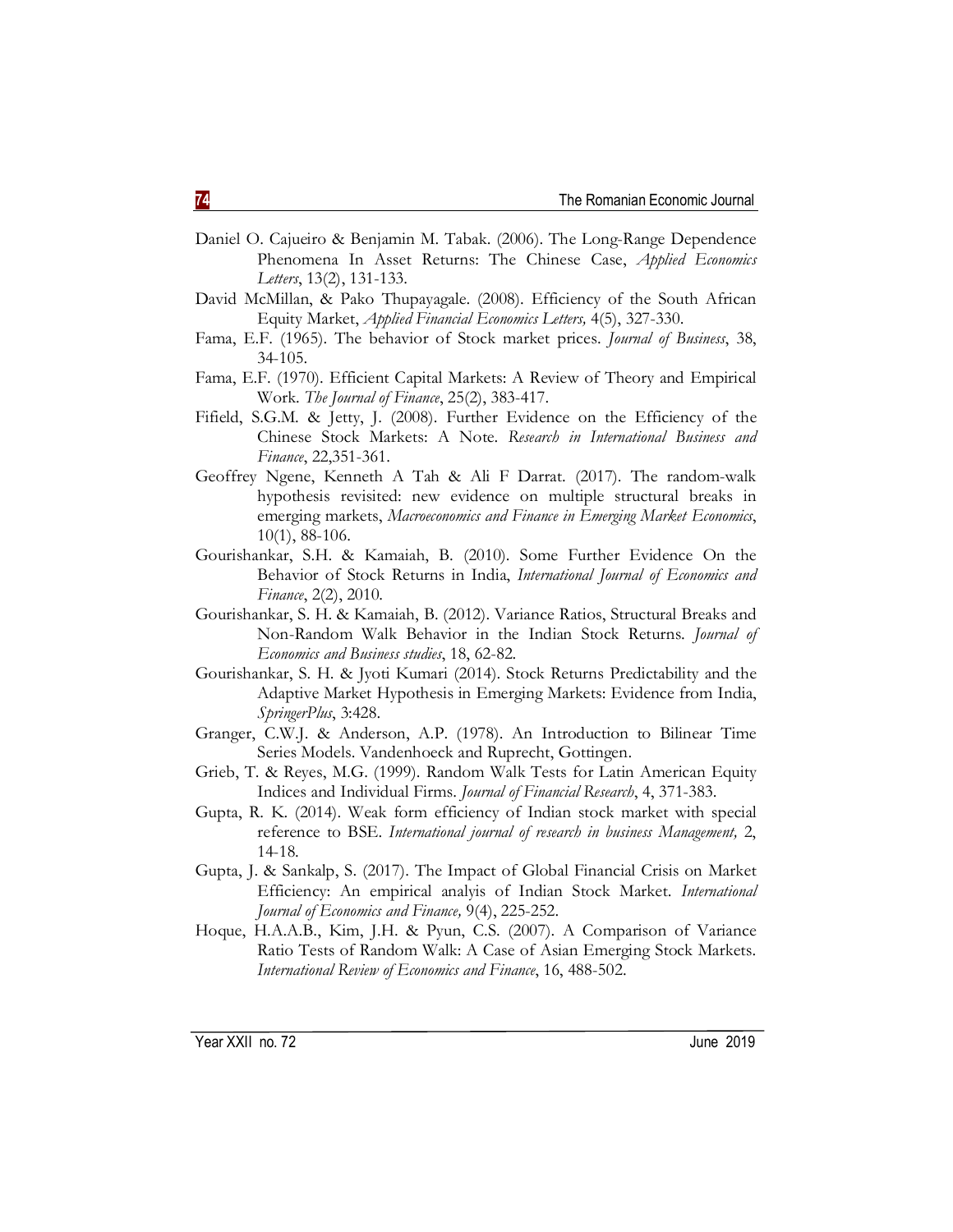- Daniel O. Cajueiro & Benjamin M. Tabak. (2006). The Long-Range Dependence Phenomena In Asset Returns: The Chinese Case, *Applied Economics Letters*, 13(2), 131-133.
- David McMillan, & Pako Thupayagale. (2008). Efficiency of the South African Equity Market, *Applied Financial Economics Letters,* 4(5), 327-330.
- Fama, E.F. (1965). The behavior of Stock market prices. *Journal of Business*, 38, 34-105.
- Fama, E.F. (1970). Efficient Capital Markets: A Review of Theory and Empirical Work. *The Journal of Finance*, 25(2), 383-417.
- Fifield, S.G.M. & Jetty, J. (2008). Further Evidence on the Efficiency of the Chinese Stock Markets: A Note. *Research in International Business and Finance*, 22,351-361.
- Geoffrey Ngene, Kenneth A Tah & Ali F Darrat. (2017). The random-walk hypothesis revisited: new evidence on multiple structural breaks in emerging markets, *Macroeconomics and Finance in Emerging Market Economics*, 10(1), 88-106.
- Gourishankar, S.H. & Kamaiah, B. (2010). Some Further Evidence On the Behavior of Stock Returns in India, *International Journal of Economics and Finance*, 2(2), 2010.
- Gourishankar, S. H. & Kamaiah, B. (2012). Variance Ratios, Structural Breaks and Non-Random Walk Behavior in the Indian Stock Returns. *Journal of Economics and Business studies*, 18, 62-82.
- Gourishankar, S. H. & Jyoti Kumari (2014). Stock Returns Predictability and the Adaptive Market Hypothesis in Emerging Markets: Evidence from India, *SpringerPlus*, 3:428.
- Granger, C.W.J. & Anderson, A.P. (1978). An Introduction to Bilinear Time Series Models. Vandenhoeck and Ruprecht, Gottingen.
- Grieb, T. & Reyes, M.G. (1999). Random Walk Tests for Latin American Equity Indices and Individual Firms. *Journal of Financial Research*, 4, 371-383.
- Gupta, R. K. (2014). Weak form efficiency of Indian stock market with special reference to BSE. *International journal of research in business Management,* 2, 14-18.
- Gupta, J. & Sankalp, S. (2017). The Impact of Global Financial Crisis on Market Efficiency: An empirical analyis of Indian Stock Market. *International Journal of Economics and Finance,* 9(4), 225-252.
- Hoque, H.A.A.B., Kim, J.H. & Pyun, C.S. (2007). A Comparison of Variance Ratio Tests of Random Walk: A Case of Asian Emerging Stock Markets. *International Review of Economics and Finance*, 16, 488-502.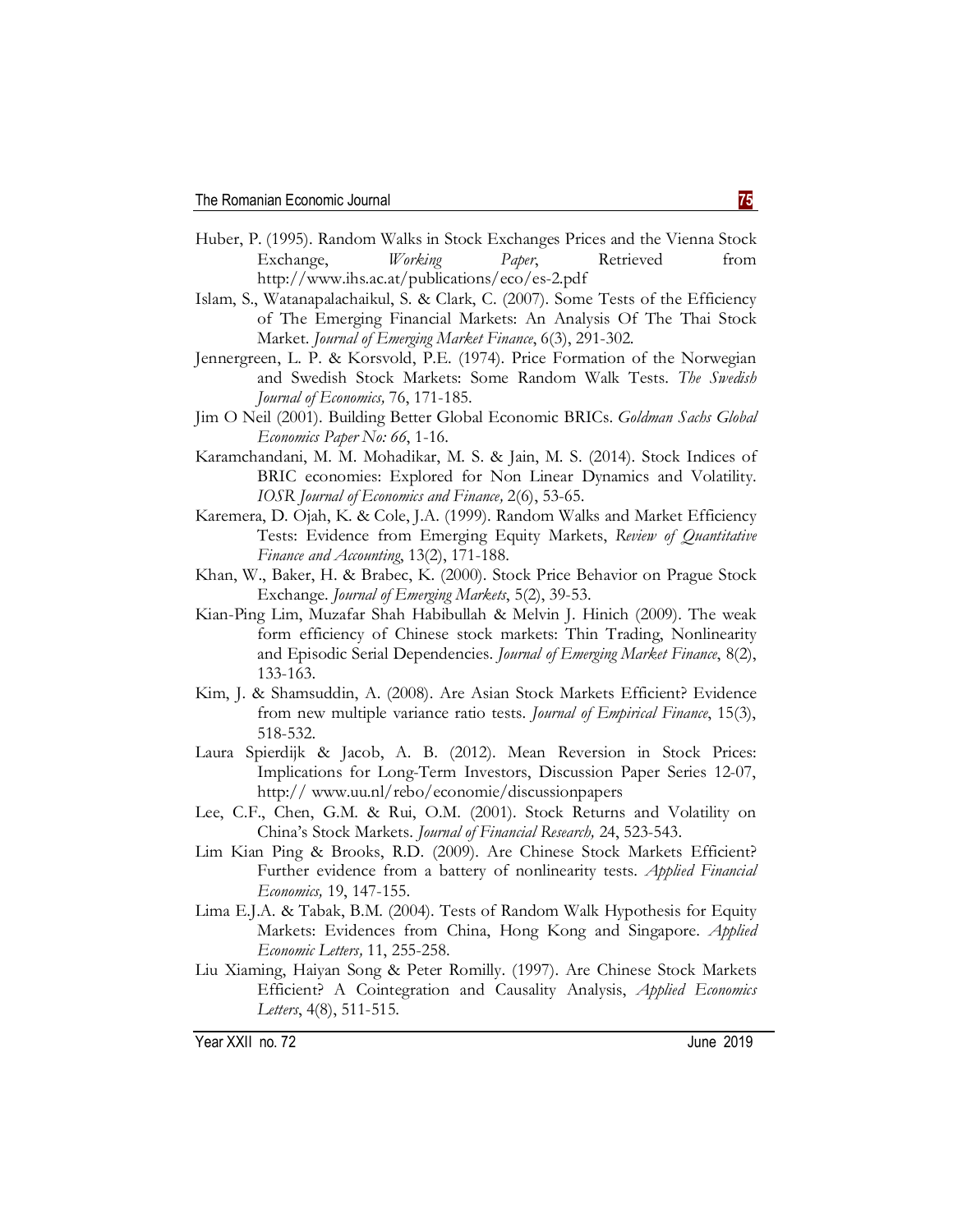- Huber, P. (1995). Random Walks in Stock Exchanges Prices and the Vienna Stock Exchange, *Working Paper*, Retrieved from http://www.ihs.ac.at/publications/eco/es-2.pdf
- Islam, S., Watanapalachaikul, S. & Clark, C. (2007). Some Tests of the Efficiency of The Emerging Financial Markets: An Analysis Of The Thai Stock Market. *Journal of Emerging Market Finance*, 6(3), 291-302.
- Jennergreen, L. P. & Korsvold, P.E. (1974). Price Formation of the Norwegian and Swedish Stock Markets: Some Random Walk Tests. *The Swedish Journal of Economics,* 76, 171-185.
- Jim O Neil (2001). Building Better Global Economic BRICs. *Goldman Sachs Global Economics Paper No: 66*, 1-16.
- Karamchandani, M. M. Mohadikar, M. S. & Jain, M. S. (2014). Stock Indices of BRIC economies: Explored for Non Linear Dynamics and Volatility. *IOSR Journal of Economics and Finance,* 2(6), 53-65.
- Karemera, D. Ojah, K. & Cole, J.A. (1999). Random Walks and Market Efficiency Tests: Evidence from Emerging Equity Markets, *Review of Quantitative Finance and Accounting*, 13(2), 171-188.
- Khan, W., Baker, H. & Brabec, K. (2000). Stock Price Behavior on Prague Stock Exchange. *Journal of Emerging Markets*, 5(2), 39-53.
- Kian-Ping Lim, Muzafar Shah Habibullah & Melvin J. Hinich (2009). The weak form efficiency of Chinese stock markets: Thin Trading, Nonlinearity and Episodic Serial Dependencies. *Journal of Emerging Market Finance*, 8(2), 133-163.
- Kim, J. & Shamsuddin, A. (2008). Are Asian Stock Markets Efficient? Evidence from new multiple variance ratio tests. *Journal of Empirical Finance*, 15(3), 518-532.
- Laura Spierdijk & Jacob, A. B. (2012). Mean Reversion in Stock Prices: Implications for Long-Term Investors, Discussion Paper Series 12-07, http:// www.uu.nl/rebo/economie/discussionpapers
- Lee, C.F., Chen, G.M. & Rui, O.M. (2001). Stock Returns and Volatility on China's Stock Markets. *Journal of Financial Research,* 24, 523-543.
- Lim Kian Ping & Brooks, R.D. (2009). Are Chinese Stock Markets Efficient? Further evidence from a battery of nonlinearity tests. *Applied Financial Economics,* 19, 147-155.
- Lima E.J.A. & Tabak, B.M. (2004). Tests of Random Walk Hypothesis for Equity Markets: Evidences from China, Hong Kong and Singapore. *Applied Economic Letters,* 11, 255-258.
- Liu Xiaming, Haiyan Song & Peter Romilly. (1997). Are Chinese Stock Markets Efficient? A Cointegration and Causality Analysis, *Applied Economics Letters*, 4(8), 511-515.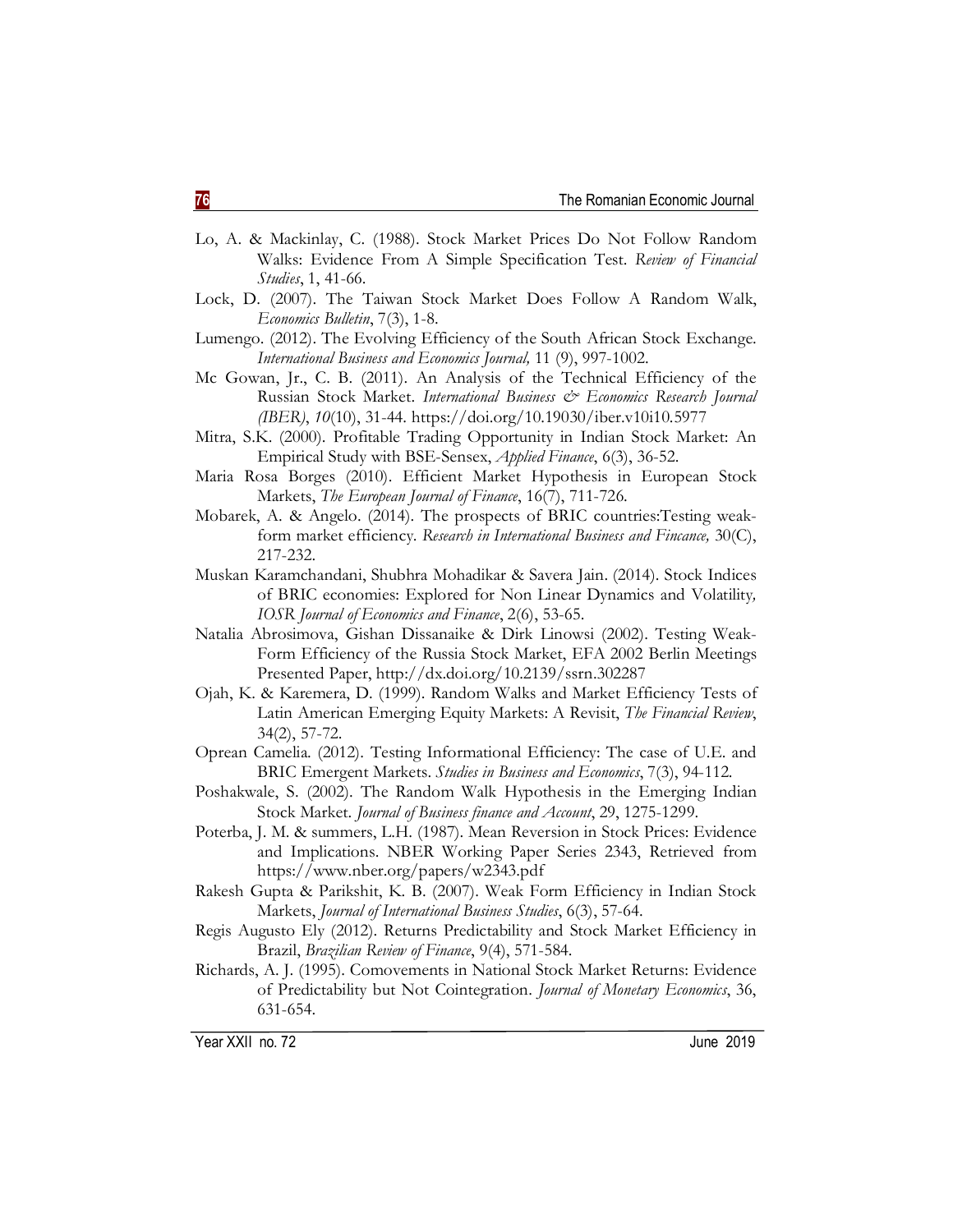- Lo, A. & Mackinlay, C. (1988). Stock Market Prices Do Not Follow Random Walks: Evidence From A Simple Specification Test. *Review of Financial Studies*, 1, 41-66.
- Lock, D. (2007). The Taiwan Stock Market Does Follow A Random Walk, *Economics Bulletin*, 7(3), 1-8.
- Lumengo. (2012). The Evolving Efficiency of the South African Stock Exchange. *International Business and Economics Journal,* 11 (9), 997-1002.
- Mc Gowan, Jr., C. B. (2011). An Analysis of the Technical Efficiency of the Russian Stock Market. *International Business & Economics Research Journal (IBER)*, *10*(10), 31-44. https://doi.org/10.19030/iber.v10i10.5977
- Mitra, S.K. (2000). Profitable Trading Opportunity in Indian Stock Market: An Empirical Study with BSE-Sensex, *Applied Finance*, 6(3), 36-52.
- Maria Rosa Borges (2010). Efficient Market Hypothesis in European Stock Markets, *The European Journal of Finance*, 16(7), 711-726.
- Mobarek, A. & Angelo. (2014). The prospects of BRIC countries:Testing weakform market efficiency. *Research in International Business and Fincance,* 30(C), 217-232.
- Muskan Karamchandani, Shubhra Mohadikar & Savera Jain. (2014). Stock Indices of BRIC economies: Explored for Non Linear Dynamics and Volatility*, IOSR Journal of Economics and Finance*, 2(6), 53-65.
- Natalia Abrosimova, Gishan Dissanaike & Dirk Linowsi (2002). Testing Weak-Form Efficiency of the Russia Stock Market, EFA 2002 Berlin Meetings Presented Paper, http://dx.doi.org/10.2139/ssrn.302287
- Ojah, K. & Karemera, D. (1999). Random Walks and Market Efficiency Tests of Latin American Emerging Equity Markets: A Revisit, *The Financial Review*, 34(2), 57-72.
- Oprean Camelia. (2012). Testing Informational Efficiency: The case of U.E. and BRIC Emergent Markets. *Studies in Business and Economics*, 7(3), 94-112.
- Poshakwale, S. (2002). The Random Walk Hypothesis in the Emerging Indian Stock Market. *Journal of Business finance and Account*, 29, 1275-1299.
- Poterba, J. M. & summers, L.H. (1987). Mean Reversion in Stock Prices: Evidence and Implications. NBER Working Paper Series 2343, Retrieved from https://www.nber.org/papers/w2343.pdf
- Rakesh Gupta & Parikshit, K. B. (2007). Weak Form Efficiency in Indian Stock Markets, *Journal of International Business Studies*, 6(3), 57-64.
- Regis Augusto Ely (2012). Returns Predictability and Stock Market Efficiency in Brazil, *Brazilian Review of Finance*, 9(4), 571-584.
- Richards, A. J. (1995). Comovements in National Stock Market Returns: Evidence of Predictability but Not Cointegration. *Journal of Monetary Economics*, 36, 631-654.